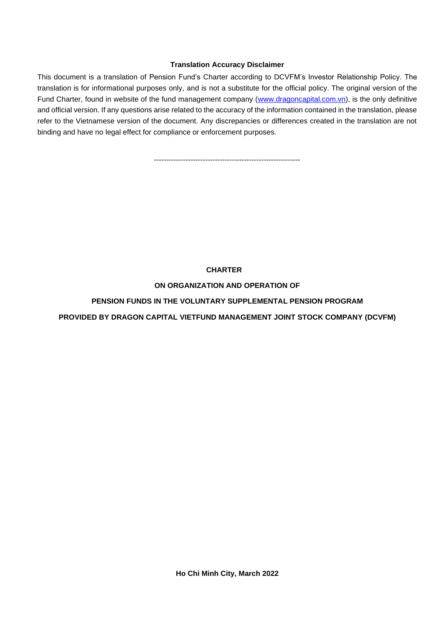### **Translation Accuracy Disclaimer**

This document is a translation of Pension Fund's Charter according to DCVFM's Investor Relationship Policy. The translation is for informational purposes only, and is not a substitute for the official policy. The original version of the Fund Charter, found in website of the fund management company [\(www.dragoncapital.com.vn\)](http://www.dragoncapital.com.vn/), is the only definitive and official version. If any questions arise related to the accuracy of the information contained in the translation, please refer to the Vietnamese version of the document. Any discrepancies or differences created in the translation are not binding and have no legal effect for compliance or enforcement purposes.

------------------------------------------------------------

### **CHARTER**

### **ON ORGANIZATION AND OPERATION OF**

## **PENSION FUNDS IN THE VOLUNTARY SUPPLEMENTAL PENSION PROGRAM**

# **PROVIDED BY DRAGON CAPITAL VIETFUND MANAGEMENT JOINT STOCK COMPANY (DCVFM)**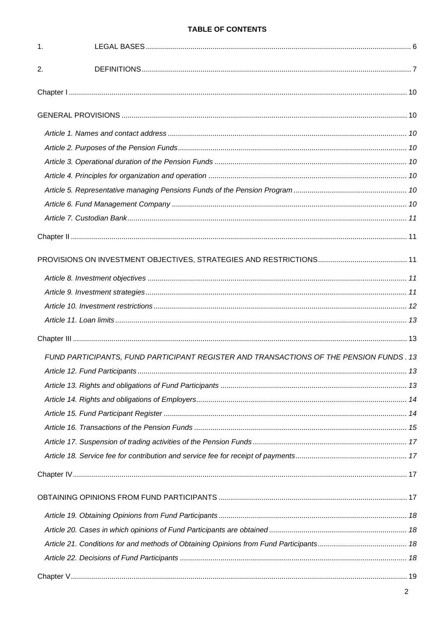# **TABLE OF CONTENTS**

| 1. |                                                                                         |  |
|----|-----------------------------------------------------------------------------------------|--|
| 2. |                                                                                         |  |
|    |                                                                                         |  |
|    |                                                                                         |  |
|    |                                                                                         |  |
|    |                                                                                         |  |
|    |                                                                                         |  |
|    |                                                                                         |  |
|    |                                                                                         |  |
|    |                                                                                         |  |
|    |                                                                                         |  |
|    |                                                                                         |  |
|    |                                                                                         |  |
|    |                                                                                         |  |
|    |                                                                                         |  |
|    |                                                                                         |  |
|    |                                                                                         |  |
|    |                                                                                         |  |
|    | FUND PARTICIPANTS, FUND PARTICIPANT REGISTER AND TRANSACTIONS OF THE PENSION FUNDS . 13 |  |
|    |                                                                                         |  |
|    |                                                                                         |  |
|    |                                                                                         |  |
|    |                                                                                         |  |
|    |                                                                                         |  |
|    |                                                                                         |  |
|    |                                                                                         |  |
|    |                                                                                         |  |
|    |                                                                                         |  |
|    |                                                                                         |  |
|    |                                                                                         |  |
|    |                                                                                         |  |
|    |                                                                                         |  |
|    |                                                                                         |  |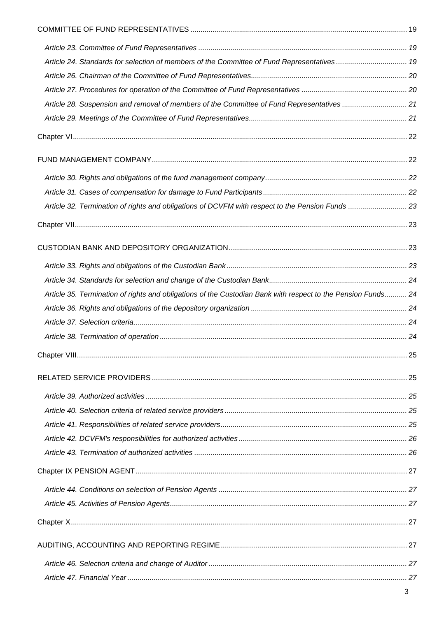| Article 24. Standards for selection of members of the Committee of Fund Representatives 19                   |  |
|--------------------------------------------------------------------------------------------------------------|--|
|                                                                                                              |  |
|                                                                                                              |  |
| Article 28. Suspension and removal of members of the Committee of Fund Representatives  21                   |  |
|                                                                                                              |  |
|                                                                                                              |  |
|                                                                                                              |  |
|                                                                                                              |  |
|                                                                                                              |  |
| Article 32. Termination of rights and obligations of DCVFM with respect to the Pension Funds  23             |  |
|                                                                                                              |  |
|                                                                                                              |  |
|                                                                                                              |  |
|                                                                                                              |  |
| Article 35. Termination of rights and obligations of the Custodian Bank with respect to the Pension Funds 24 |  |
|                                                                                                              |  |
|                                                                                                              |  |
|                                                                                                              |  |
|                                                                                                              |  |
|                                                                                                              |  |
|                                                                                                              |  |
|                                                                                                              |  |
|                                                                                                              |  |
|                                                                                                              |  |
|                                                                                                              |  |
|                                                                                                              |  |
|                                                                                                              |  |
|                                                                                                              |  |
|                                                                                                              |  |
|                                                                                                              |  |
|                                                                                                              |  |
|                                                                                                              |  |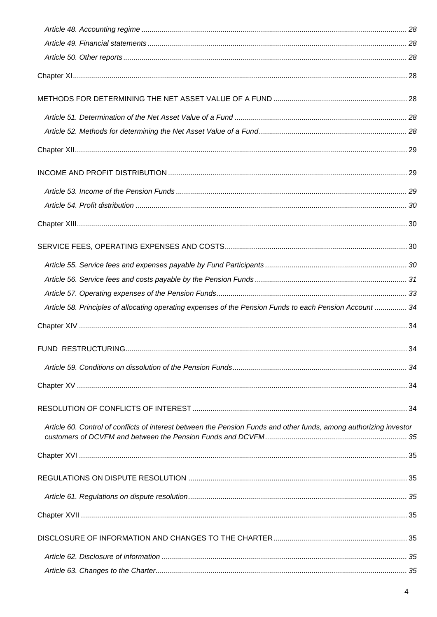| Article 58. Principles of allocating operating expenses of the Pension Funds to each Pension Account  34           |  |
|--------------------------------------------------------------------------------------------------------------------|--|
|                                                                                                                    |  |
|                                                                                                                    |  |
|                                                                                                                    |  |
|                                                                                                                    |  |
|                                                                                                                    |  |
| Article 60. Control of conflicts of interest between the Pension Funds and other funds, among authorizing investor |  |
|                                                                                                                    |  |
|                                                                                                                    |  |
|                                                                                                                    |  |
|                                                                                                                    |  |
|                                                                                                                    |  |
|                                                                                                                    |  |
|                                                                                                                    |  |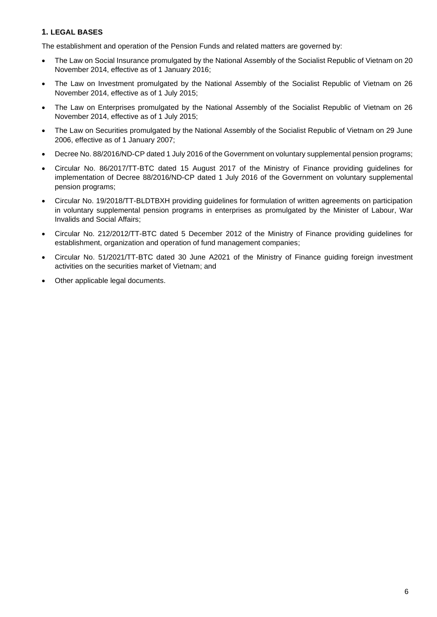# <span id="page-5-0"></span>**1. LEGAL BASES**

The establishment and operation of the Pension Funds and related matters are governed by:

- The Law on Social Insurance promulgated by the National Assembly of the Socialist Republic of Vietnam on 20 November 2014, effective as of 1 January 2016;
- The Law on Investment promulgated by the National Assembly of the Socialist Republic of Vietnam on 26 November 2014, effective as of 1 July 2015;
- The Law on Enterprises promulgated by the National Assembly of the Socialist Republic of Vietnam on 26 November 2014, effective as of 1 July 2015;
- The Law on Securities promulgated by the National Assembly of the Socialist Republic of Vietnam on 29 June 2006, effective as of 1 January 2007;
- Decree No. 88/2016/ND-CP dated 1 July 2016 of the Government on voluntary supplemental pension programs;
- Circular No. 86/2017/TT-BTC dated 15 August 2017 of the Ministry of Finance providing guidelines for implementation of Decree 88/2016/ND-CP dated 1 July 2016 of the Government on voluntary supplemental pension programs;
- Circular No. 19/2018/TT-BLDTBXH providing guidelines for formulation of written agreements on participation in voluntary supplemental pension programs in enterprises as promulgated by the Minister of Labour, War Invalids and Social Affairs;
- Circular No. 212/2012/TT-BTC dated 5 December 2012 of the Ministry of Finance providing guidelines for establishment, organization and operation of fund management companies;
- Circular No. 51/2021/TT-BTC dated 30 June A2021 of the Ministry of Finance guiding foreign investment activities on the securities market of Vietnam; and
- Other applicable legal documents.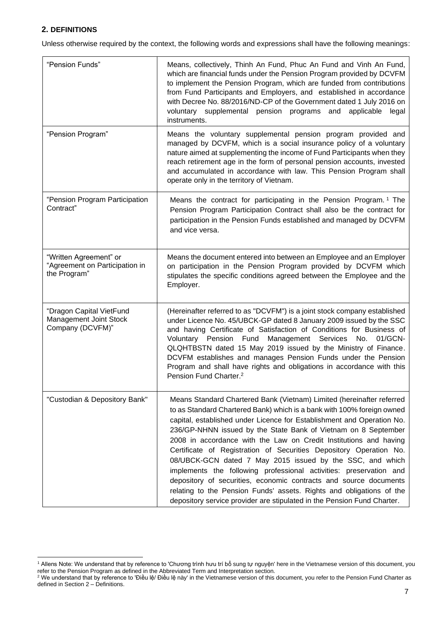# <span id="page-6-0"></span>**2. DEFINITIONS**

Unless otherwise required by the context, the following words and expressions shall have the following meanings:

| "Pension Funds"                                                          | Means, collectively, Thinh An Fund, Phuc An Fund and Vinh An Fund,<br>which are financial funds under the Pension Program provided by DCVFM<br>to implement the Pension Program, which are funded from contributions<br>from Fund Participants and Employers, and established in accordance<br>with Decree No. 88/2016/ND-CP of the Government dated 1 July 2016 on<br>voluntary supplemental pension programs and<br>applicable<br>legal<br>instruments.                                                                                                                                                                                                                                                                                                                                         |
|--------------------------------------------------------------------------|---------------------------------------------------------------------------------------------------------------------------------------------------------------------------------------------------------------------------------------------------------------------------------------------------------------------------------------------------------------------------------------------------------------------------------------------------------------------------------------------------------------------------------------------------------------------------------------------------------------------------------------------------------------------------------------------------------------------------------------------------------------------------------------------------|
| "Pension Program"                                                        | Means the voluntary supplemental pension program provided and<br>managed by DCVFM, which is a social insurance policy of a voluntary<br>nature aimed at supplementing the income of Fund Participants when they<br>reach retirement age in the form of personal pension accounts, invested<br>and accumulated in accordance with law. This Pension Program shall<br>operate only in the territory of Vietnam.                                                                                                                                                                                                                                                                                                                                                                                     |
| "Pension Program Participation<br>Contract"                              | Means the contract for participating in the Pension Program. <sup>1</sup> The<br>Pension Program Participation Contract shall also be the contract for<br>participation in the Pension Funds established and managed by DCVFM<br>and vice versa.                                                                                                                                                                                                                                                                                                                                                                                                                                                                                                                                                  |
| "Written Agreement" or<br>"Agreement on Participation in<br>the Program" | Means the document entered into between an Employee and an Employer<br>on participation in the Pension Program provided by DCVFM which<br>stipulates the specific conditions agreed between the Employee and the<br>Employer.                                                                                                                                                                                                                                                                                                                                                                                                                                                                                                                                                                     |
| "Dragon Capital VietFund<br>Management Joint Stock<br>Company (DCVFM)"   | (Hereinafter referred to as "DCVFM") is a joint stock company established<br>under Licence No. 45/UBCK-GP dated 8 January 2009 issued by the SSC<br>and having Certificate of Satisfaction of Conditions for Business of<br>Voluntary Pension Fund Management Services No.<br>01/GCN-<br>QLQHTBSTN dated 15 May 2019 issued by the Ministry of Finance.<br>DCVFM establishes and manages Pension Funds under the Pension<br>Program and shall have rights and obligations in accordance with this<br>Pension Fund Charter. <sup>2</sup>                                                                                                                                                                                                                                                           |
| "Custodian & Depository Bank"                                            | Means Standard Chartered Bank (Vietnam) Limited (hereinafter referred<br>to as Standard Chartered Bank) which is a bank with 100% foreign owned<br>capital, established under Licence for Establishment and Operation No.<br>236/GP-NHNN issued by the State Bank of Vietnam on 8 September<br>2008 in accordance with the Law on Credit Institutions and having<br>Certificate of Registration of Securities Depository Operation No.<br>08/UBCK-GCN dated 7 May 2015 issued by the SSC, and which<br>implements the following professional activities: preservation and<br>depository of securities, economic contracts and source documents<br>relating to the Pension Funds' assets. Rights and obligations of the<br>depository service provider are stipulated in the Pension Fund Charter. |

<sup>1</sup> Allens Note: We understand that by reference to 'Chương trình hưu trí bổ sung tự nguyện' here in the Vietnamese version of this document, you refer to the Pension Program as defined in the Abbreviated Term and Interpretation section.

 $^2$  We understand that by reference to 'Điều lệ/ Điều lệ này' in the Vietnamese version of this document, you refer to the Pension Fund Charter as defined in Section  $2 -$  Definitions.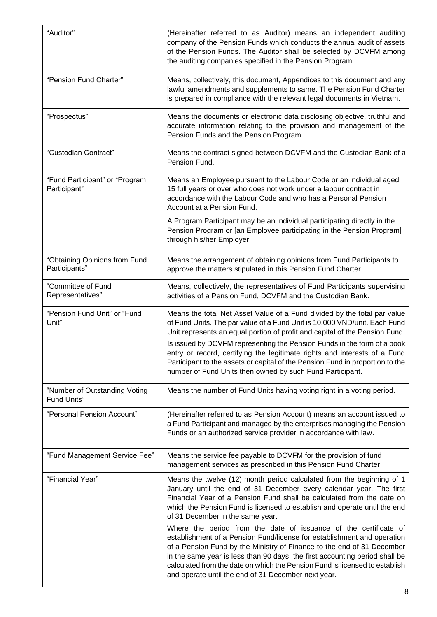| "Auditor"                                      | (Hereinafter referred to as Auditor) means an independent auditing<br>company of the Pension Funds which conducts the annual audit of assets<br>of the Pension Funds. The Auditor shall be selected by DCVFM among<br>the auditing companies specified in the Pension Program.                                                                                                                                                                                                                                                                                                                                                                 |
|------------------------------------------------|------------------------------------------------------------------------------------------------------------------------------------------------------------------------------------------------------------------------------------------------------------------------------------------------------------------------------------------------------------------------------------------------------------------------------------------------------------------------------------------------------------------------------------------------------------------------------------------------------------------------------------------------|
| "Pension Fund Charter"                         | Means, collectively, this document, Appendices to this document and any<br>lawful amendments and supplements to same. The Pension Fund Charter<br>is prepared in compliance with the relevant legal documents in Vietnam.                                                                                                                                                                                                                                                                                                                                                                                                                      |
| "Prospectus"                                   | Means the documents or electronic data disclosing objective, truthful and<br>accurate information relating to the provision and management of the<br>Pension Funds and the Pension Program.                                                                                                                                                                                                                                                                                                                                                                                                                                                    |
| "Custodian Contract"                           | Means the contract signed between DCVFM and the Custodian Bank of a<br>Pension Fund.                                                                                                                                                                                                                                                                                                                                                                                                                                                                                                                                                           |
| "Fund Participant" or "Program<br>Participant" | Means an Employee pursuant to the Labour Code or an individual aged<br>15 full years or over who does not work under a labour contract in<br>accordance with the Labour Code and who has a Personal Pension<br>Account at a Pension Fund.                                                                                                                                                                                                                                                                                                                                                                                                      |
|                                                | A Program Participant may be an individual participating directly in the<br>Pension Program or [an Employee participating in the Pension Program]<br>through his/her Employer.                                                                                                                                                                                                                                                                                                                                                                                                                                                                 |
| "Obtaining Opinions from Fund<br>Participants" | Means the arrangement of obtaining opinions from Fund Participants to<br>approve the matters stipulated in this Pension Fund Charter.                                                                                                                                                                                                                                                                                                                                                                                                                                                                                                          |
| "Committee of Fund<br>Representatives"         | Means, collectively, the representatives of Fund Participants supervising<br>activities of a Pension Fund, DCVFM and the Custodian Bank.                                                                                                                                                                                                                                                                                                                                                                                                                                                                                                       |
| "Pension Fund Unit" or "Fund<br>Unit"          | Means the total Net Asset Value of a Fund divided by the total par value<br>of Fund Units. The par value of a Fund Unit is 10,000 VND/unit. Each Fund<br>Unit represents an equal portion of profit and capital of the Pension Fund.<br>Is issued by DCVFM representing the Pension Funds in the form of a book<br>entry or record, certifying the legitimate rights and interests of a Fund<br>Participant to the assets or capital of the Pension Fund in proportion to the<br>number of Fund Units then owned by such Fund Participant.                                                                                                     |
| "Number of Outstanding Voting<br>Fund Units"   | Means the number of Fund Units having voting right in a voting period.                                                                                                                                                                                                                                                                                                                                                                                                                                                                                                                                                                         |
| "Personal Pension Account"                     | (Hereinafter referred to as Pension Account) means an account issued to<br>a Fund Participant and managed by the enterprises managing the Pension<br>Funds or an authorized service provider in accordance with law.                                                                                                                                                                                                                                                                                                                                                                                                                           |
| "Fund Management Service Fee"                  | Means the service fee payable to DCVFM for the provision of fund<br>management services as prescribed in this Pension Fund Charter.                                                                                                                                                                                                                                                                                                                                                                                                                                                                                                            |
| "Financial Year"                               | Means the twelve (12) month period calculated from the beginning of 1<br>January until the end of 31 December every calendar year. The first<br>Financial Year of a Pension Fund shall be calculated from the date on<br>which the Pension Fund is licensed to establish and operate until the end<br>of 31 December in the same year.<br>Where the period from the date of issuance of the certificate of<br>establishment of a Pension Fund/license for establishment and operation<br>of a Pension Fund by the Ministry of Finance to the end of 31 December<br>in the same year is less than 90 days, the first accounting period shall be |
|                                                | calculated from the date on which the Pension Fund is licensed to establish<br>and operate until the end of 31 December next year.                                                                                                                                                                                                                                                                                                                                                                                                                                                                                                             |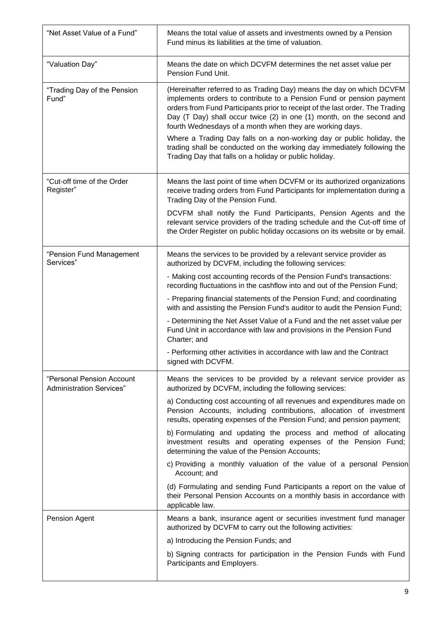| "Net Asset Value of a Fund"                                  | Means the total value of assets and investments owned by a Pension<br>Fund minus its liabilities at the time of valuation.                                                                                                                                                                                                                                          |
|--------------------------------------------------------------|---------------------------------------------------------------------------------------------------------------------------------------------------------------------------------------------------------------------------------------------------------------------------------------------------------------------------------------------------------------------|
| "Valuation Day"                                              | Means the date on which DCVFM determines the net asset value per<br>Pension Fund Unit.                                                                                                                                                                                                                                                                              |
| "Trading Day of the Pension<br>Fund"                         | (Hereinafter referred to as Trading Day) means the day on which DCVFM<br>implements orders to contribute to a Pension Fund or pension payment<br>orders from Fund Participants prior to receipt of the last order. The Trading<br>Day (T Day) shall occur twice (2) in one (1) month, on the second and<br>fourth Wednesdays of a month when they are working days. |
|                                                              | Where a Trading Day falls on a non-working day or public holiday, the<br>trading shall be conducted on the working day immediately following the<br>Trading Day that falls on a holiday or public holiday.                                                                                                                                                          |
| "Cut-off time of the Order<br>Register"                      | Means the last point of time when DCVFM or its authorized organizations<br>receive trading orders from Fund Participants for implementation during a<br>Trading Day of the Pension Fund.                                                                                                                                                                            |
|                                                              | DCVFM shall notify the Fund Participants, Pension Agents and the<br>relevant service providers of the trading schedule and the Cut-off time of<br>the Order Register on public holiday occasions on its website or by email.                                                                                                                                        |
| "Pension Fund Management<br>Services"                        | Means the services to be provided by a relevant service provider as<br>authorized by DCVFM, including the following services:                                                                                                                                                                                                                                       |
|                                                              | - Making cost accounting records of the Pension Fund's transactions:<br>recording fluctuations in the cashflow into and out of the Pension Fund;                                                                                                                                                                                                                    |
|                                                              | - Preparing financial statements of the Pension Fund; and coordinating<br>with and assisting the Pension Fund's auditor to audit the Pension Fund;                                                                                                                                                                                                                  |
|                                                              | - Determining the Net Asset Value of a Fund and the net asset value per<br>Fund Unit in accordance with law and provisions in the Pension Fund<br>Charter; and                                                                                                                                                                                                      |
|                                                              | - Performing other activities in accordance with law and the Contract<br>signed with DCVFM.                                                                                                                                                                                                                                                                         |
| "Personal Pension Account<br><b>Administration Services"</b> | Means the services to be provided by a relevant service provider as<br>authorized by DCVFM, including the following services:                                                                                                                                                                                                                                       |
|                                                              | a) Conducting cost accounting of all revenues and expenditures made on<br>Pension Accounts, including contributions, allocation of investment<br>results, operating expenses of the Pension Fund; and pension payment;                                                                                                                                              |
|                                                              | b) Formulating and updating the process and method of allocating<br>investment results and operating expenses of the Pension Fund;<br>determining the value of the Pension Accounts;                                                                                                                                                                                |
|                                                              | c) Providing a monthly valuation of the value of a personal Pension<br>Account; and                                                                                                                                                                                                                                                                                 |
|                                                              | (d) Formulating and sending Fund Participants a report on the value of<br>their Personal Pension Accounts on a monthly basis in accordance with<br>applicable law.                                                                                                                                                                                                  |
| Pension Agent                                                | Means a bank, insurance agent or securities investment fund manager<br>authorized by DCVFM to carry out the following activities:                                                                                                                                                                                                                                   |
|                                                              | a) Introducing the Pension Funds; and                                                                                                                                                                                                                                                                                                                               |
|                                                              | b) Signing contracts for participation in the Pension Funds with Fund<br>Participants and Employers.                                                                                                                                                                                                                                                                |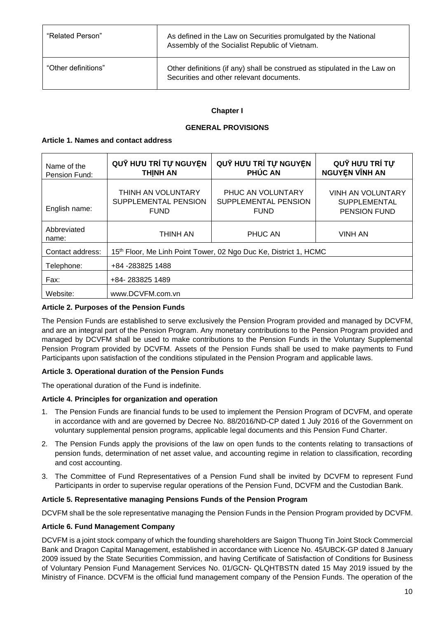| "Related Person"    | As defined in the Law on Securities promulgated by the National<br>Assembly of the Socialist Republic of Vietnam.     |
|---------------------|-----------------------------------------------------------------------------------------------------------------------|
| "Other definitions" | Other definitions (if any) shall be construed as stipulated in the Law on<br>Securities and other relevant documents. |

### **Chapter I**

### **GENERAL PROVISIONS**

### <span id="page-9-2"></span><span id="page-9-1"></span><span id="page-9-0"></span>**Article 1. Names and contact address**

| Name of the<br>Pension Fund: | QUY HƯU TRÍ TỰ NGUYỆN<br><b>THINH AN</b>                         | QUY HƯU TRÍ TỰ NGUYỆN<br><b>PHÚC AN</b>                  | QUY HƯU TRÍ TỰ<br><b>NGUYÊN VĨNH AN</b>                                |
|------------------------------|------------------------------------------------------------------|----------------------------------------------------------|------------------------------------------------------------------------|
| English name:                | THINH AN VOLUNTARY<br>SUPPLEMENTAL PENSION<br><b>FUND</b>        | PHUC AN VOLUNTARY<br>SUPPLEMENTAL PENSION<br><b>FUND</b> | <b>VINH AN VOLUNTARY</b><br><b>SUPPLEMENTAL</b><br><b>PENSION FUND</b> |
| Abbreviated<br>name:         | THINH AN                                                         | PHUC AN                                                  | <b>VINH AN</b>                                                         |
| Contact address:             | 15th Floor, Me Linh Point Tower, 02 Ngo Duc Ke, District 1, HCMC |                                                          |                                                                        |
| Telephone:                   | +84 -283825 1488                                                 |                                                          |                                                                        |
| Fax:                         | +84-283825 1489                                                  |                                                          |                                                                        |
| Website:                     | www.DCVFM.com.vn                                                 |                                                          |                                                                        |

## <span id="page-9-3"></span>**Article 2. Purposes of the Pension Funds**

The Pension Funds are established to serve exclusively the Pension Program provided and managed by DCVFM, and are an integral part of the Pension Program. Any monetary contributions to the Pension Program provided and managed by DCVFM shall be used to make contributions to the Pension Funds in the Voluntary Supplemental Pension Program provided by DCVFM. Assets of the Pension Funds shall be used to make payments to Fund Participants upon satisfaction of the conditions stipulated in the Pension Program and applicable laws.

#### <span id="page-9-4"></span>**Article 3. Operational duration of the Pension Funds**

The operational duration of the Fund is indefinite.

#### <span id="page-9-5"></span>**Article 4. Principles for organization and operation**

- 1. The Pension Funds are financial funds to be used to implement the Pension Program of DCVFM, and operate in accordance with and are governed by Decree No. 88/2016/ND-CP dated 1 July 2016 of the Government on voluntary supplemental pension programs, applicable legal documents and this Pension Fund Charter.
- 2. The Pension Funds apply the provisions of the law on open funds to the contents relating to transactions of pension funds, determination of net asset value, and accounting regime in relation to classification, recording and cost accounting.
- 3. The Committee of Fund Representatives of a Pension Fund shall be invited by DCVFM to represent Fund Participants in order to supervise regular operations of the Pension Fund, DCVFM and the Custodian Bank.

#### <span id="page-9-6"></span>**Article 5. Representative managing Pensions Funds of the Pension Program**

DCVFM shall be the sole representative managing the Pension Funds in the Pension Program provided by DCVFM.

#### <span id="page-9-7"></span>**Article 6. Fund Management Company**

DCVFM is a joint stock company of which the founding shareholders are Saigon Thuong Tin Joint Stock Commercial Bank and Dragon Capital Management, established in accordance with Licence No. 45/UBCK-GP dated 8 January 2009 issued by the State Securities Commission, and having Certificate of Satisfaction of Conditions for Business of Voluntary Pension Fund Management Services No. 01/GCN- QLQHTBSTN dated 15 May 2019 issued by the Ministry of Finance. DCVFM is the official fund management company of the Pension Funds. The operation of the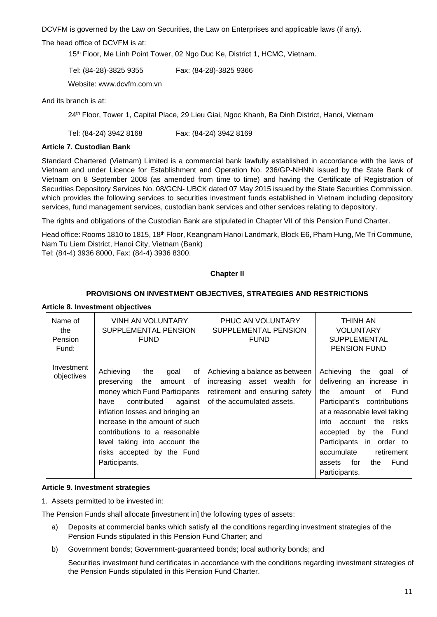DCVFM is governed by the Law on Securities, the Law on Enterprises and applicable laws (if any).

#### The head office of DCVFM is at:

15 th Floor, Me Linh Point Tower, 02 Ngo Duc Ke, District 1, HCMC, Vietnam.

Tel: (84-28)-3825 9355 Fax: (84-28)-3825 9366

Website: [www.dcvfm.com.vn](http://www.vfm.com.vn/)

And its branch is at:

24th Floor, Tower 1, Capital Place, 29 Lieu Giai, Ngoc Khanh, Ba Dinh District, Hanoi, Vietnam

Tel: (84-24) 3942 8168 Fax: (84-24) 3942 8169

### <span id="page-10-0"></span>**Article 7. Custodian Bank**

Standard Chartered (Vietnam) Limited is a commercial bank lawfully established in accordance with the laws of Vietnam and under Licence for Establishment and Operation No. 236/GP-NHNN issued by the State Bank of Vietnam on 8 September 2008 (as amended from time to time) and having the Certificate of Registration of Securities Depository Services No. 08/GCN- UBCK dated 07 May 2015 issued by the State Securities Commission, which provides the following services to securities investment funds established in Vietnam including depository services, fund management services, custodian bank services and other services relating to depository.

The rights and obligations of the Custodian Bank are stipulated in Chapter VII of this Pension Fund Charter.

Head office: Rooms 1810 to 1815, 18<sup>th</sup> Floor, Keangnam Hanoi Landmark, Block E6, Pham Hung, Me Tri Commune, Nam Tu Liem District, Hanoi City, Vietnam (Bank)

<span id="page-10-1"></span>Tel: (84-4) 3936 8000, Fax: (84-4) 3936 8300.

#### **Chapter II**

### **PROVISIONS ON INVESTMENT OBJECTIVES, STRATEGIES AND RESTRICTIONS**

#### <span id="page-10-3"></span><span id="page-10-2"></span>**Article 8. Investment objectives**

| Name of<br>the<br>Pension<br>Fund: | VINH AN VOLUNTARY<br>SUPPLEMENTAL PENSION<br><b>FUND</b>                                                                                                                                                                                                                                                                      | PHUC AN VOLUNTARY<br>SUPPLEMENTAL PENSION<br><b>FUND</b>                                                                      | THINH AN<br>VOLUNTARY<br><b>SUPPLEMENTAL</b><br><b>PENSION FUND</b>                                                                                                                                                                                                                                                                       |
|------------------------------------|-------------------------------------------------------------------------------------------------------------------------------------------------------------------------------------------------------------------------------------------------------------------------------------------------------------------------------|-------------------------------------------------------------------------------------------------------------------------------|-------------------------------------------------------------------------------------------------------------------------------------------------------------------------------------------------------------------------------------------------------------------------------------------------------------------------------------------|
| Investment<br>objectives           | Achieving<br>the<br>οf<br>qoal<br>preserving<br>the<br>οf<br>amount<br>money which Fund Participants<br>contributed<br>against<br>have<br>inflation losses and bringing an<br>increase in the amount of such<br>contributions to a reasonable<br>level taking into account the<br>risks accepted by the Fund<br>Participants. | Achieving a balance as between<br>increasing asset wealth for<br>retirement and ensuring safety<br>of the accumulated assets. | Achieving<br>the<br>qoal<br>0f<br>delivering an increase in<br>Fund<br>the<br>of<br>amount<br>Participant's contributions<br>at a reasonable level taking<br>the<br>risks<br>account<br>into<br>the<br>Fund<br>accepted<br>by<br>Participants in<br>order to<br>accumulate<br>retirement<br>Fund<br>for<br>the<br>assets<br>Participants. |

#### <span id="page-10-4"></span>**Article 9. Investment strategies**

1. Assets permitted to be invested in:

The Pension Funds shall allocate [investment in] the following types of assets:

- a) Deposits at commercial banks which satisfy all the conditions regarding investment strategies of the Pension Funds stipulated in this Pension Fund Charter; and
- b) Government bonds; Government-guaranteed bonds; local authority bonds; and

Securities investment fund certificates in accordance with the conditions regarding investment strategies of the Pension Funds stipulated in this Pension Fund Charter.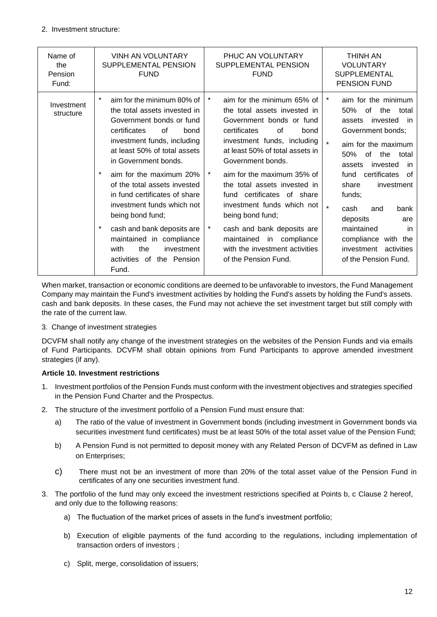| Name of<br>the<br>Pension<br>Fund: | <b>VINH AN VOLUNTARY</b><br>SUPPLEMENTAL PENSION<br><b>FUND</b>                                                                                                                                                                                                                                                                                                                                                                                                                                                         | PHUC AN VOLUNTARY<br>SUPPLEMENTAL PENSION<br><b>FUND</b>                                                                                                                                                                                                                                                                                                                                                                                                                                                         | <b>THINH AN</b><br><b>VOLUNTARY</b><br><b>SUPPLEMENTAL</b><br>PENSION FUND                                                                                                                                                                                                                                                                                                                                                |
|------------------------------------|-------------------------------------------------------------------------------------------------------------------------------------------------------------------------------------------------------------------------------------------------------------------------------------------------------------------------------------------------------------------------------------------------------------------------------------------------------------------------------------------------------------------------|------------------------------------------------------------------------------------------------------------------------------------------------------------------------------------------------------------------------------------------------------------------------------------------------------------------------------------------------------------------------------------------------------------------------------------------------------------------------------------------------------------------|---------------------------------------------------------------------------------------------------------------------------------------------------------------------------------------------------------------------------------------------------------------------------------------------------------------------------------------------------------------------------------------------------------------------------|
| Investment<br>structure            | $\star$<br>aim for the minimum 80% of<br>the total assets invested in<br>Government bonds or fund<br>certificates<br>0f<br>bond<br>investment funds, including<br>at least 50% of total assets<br>in Government bonds.<br>$\star$<br>aim for the maximum 20%<br>of the total assets invested<br>in fund certificates of share<br>investment funds which not<br>being bond fund;<br>$\star$<br>cash and bank deposits are<br>maintained in compliance<br>the<br>investment<br>with<br>activities of the Pension<br>Fund. | $\star$<br>aim for the minimum 65% of<br>the total assets invested in<br>Government bonds or fund<br>certificates<br>0f<br>bond<br>investment funds, including<br>at least 50% of total assets in<br>Government bonds.<br>$\star$<br>aim for the maximum 35% of<br>the total assets invested in<br>fund certificates of share<br>investment funds which not<br>being bond fund;<br>$\ast$<br>cash and bank deposits are<br>maintained<br>in compliance<br>with the investment activities<br>of the Pension Fund. | *<br>aim for the minimum<br>of<br>50%<br>the<br>total<br>invested<br>- in<br>assets<br>Government bonds;<br>$\star$<br>aim for the maximum<br>50%<br>the<br>0f<br>total<br>assets<br>invested<br>in<br>certificates<br>fund<br>of<br>share<br>investment<br>funds;<br>$\star$<br>bank<br>cash<br>and<br>deposits<br>are<br>maintained<br>in<br>compliance with<br>the<br>activities<br>investment<br>of the Pension Fund. |

When market, transaction or economic conditions are deemed to be unfavorable to investors, the Fund Management Company may maintain the Fund's investment activities by holding the Fund's assets by holding the Fund's assets. cash and bank deposits. In these cases, the Fund may not achieve the set investment target but still comply with the rate of the current law.

3. Change of investment strategies

DCVFM shall notify any change of the investment strategies on the websites of the Pension Funds and via emails of Fund Participants. DCVFM shall obtain opinions from Fund Participants to approve amended investment strategies (if any).

# <span id="page-11-0"></span>**Article 10. Investment restrictions**

- 1. Investment portfolios of the Pension Funds must conform with the investment objectives and strategies specified in the Pension Fund Charter and the Prospectus.
- 2. The structure of the investment portfolio of a Pension Fund must ensure that:
	- a) The ratio of the value of investment in Government bonds (including investment in Government bonds via securities investment fund certificates) must be at least 50% of the total asset value of the Pension Fund;
	- b) A Pension Fund is not permitted to deposit money with any Related Person of DCVFM as defined in Law on Enterprises;
	- c) There must not be an investment of more than 20% of the total asset value of the Pension Fund in certificates of any one securities investment fund.
- 3. The portfolio of the fund may only exceed the investment restrictions specified at Points b, c Clause 2 hereof, and only due to the following reasons:
	- a) The fluctuation of the market prices of assets in the fund's investment portfolio;
	- b) Execution of eligible payments of the fund according to the regulations, including implementation of transaction orders of investors ;
	- c) Split, merge, consolidation of issuers;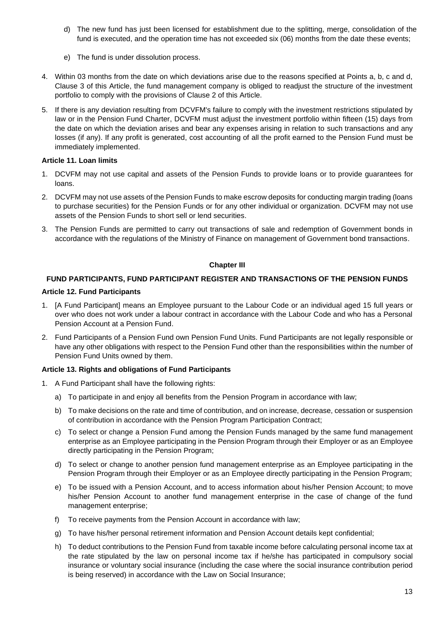- d) The new fund has just been licensed for establishment due to the splitting, merge, consolidation of the fund is executed, and the operation time has not exceeded six (06) months from the date these events;
- e) The fund is under dissolution process.
- 4. Within 03 months from the date on which deviations arise due to the reasons specified at Points a, b, c and d, Clause 3 of this Article, the fund management company is obliged to readjust the structure of the investment portfolio to comply with the provisions of Clause 2 of this Article.
- 5. If there is any deviation resulting from DCVFM's failure to comply with the investment restrictions stipulated by law or in the Pension Fund Charter, DCVFM must adjust the investment portfolio within fifteen (15) days from the date on which the deviation arises and bear any expenses arising in relation to such transactions and any losses (if any). If any profit is generated, cost accounting of all the profit earned to the Pension Fund must be immediately implemented.

### <span id="page-12-0"></span>**Article 11. Loan limits**

- 1. DCVFM may not use capital and assets of the Pension Funds to provide loans or to provide guarantees for loans.
- 2. DCVFM may not use assets of the Pension Funds to make escrow deposits for conducting margin trading (loans to purchase securities) for the Pension Funds or for any other individual or organization. DCVFM may not use assets of the Pension Funds to short sell or lend securities.
- 3. The Pension Funds are permitted to carry out transactions of sale and redemption of Government bonds in accordance with the regulations of the Ministry of Finance on management of Government bond transactions.

#### **Chapter III**

# <span id="page-12-2"></span><span id="page-12-1"></span>**FUND PARTICIPANTS, FUND PARTICIPANT REGISTER AND TRANSACTIONS OF THE PENSION FUNDS**

### <span id="page-12-3"></span>**Article 12. Fund Participants**

- 1. [A Fund Participant] means an Employee pursuant to the Labour Code or an individual aged 15 full years or over who does not work under a labour contract in accordance with the Labour Code and who has a Personal Pension Account at a Pension Fund.
- 2. Fund Participants of a Pension Fund own Pension Fund Units. Fund Participants are not legally responsible or have any other obligations with respect to the Pension Fund other than the responsibilities within the number of Pension Fund Units owned by them.

# <span id="page-12-4"></span>**Article 13. Rights and obligations of Fund Participants**

- 1. A Fund Participant shall have the following rights:
	- a) To participate in and enjoy all benefits from the Pension Program in accordance with law;
	- b) To make decisions on the rate and time of contribution, and on increase, decrease, cessation or suspension of contribution in accordance with the Pension Program Participation Contract;
	- c) To select or change a Pension Fund among the Pension Funds managed by the same fund management enterprise as an Employee participating in the Pension Program through their Employer or as an Employee directly participating in the Pension Program;
	- d) To select or change to another pension fund management enterprise as an Employee participating in the Pension Program through their Employer or as an Employee directly participating in the Pension Program;
	- e) To be issued with a Pension Account, and to access information about his/her Pension Account; to move his/her Pension Account to another fund management enterprise in the case of change of the fund management enterprise;
	- f) To receive payments from the Pension Account in accordance with law;
	- g) To have his/her personal retirement information and Pension Account details kept confidential;
	- h) To deduct contributions to the Pension Fund from taxable income before calculating personal income tax at the rate stipulated by the law on personal income tax if he/she has participated in compulsory social insurance or voluntary social insurance (including the case where the social insurance contribution period is being reserved) in accordance with the Law on Social Insurance;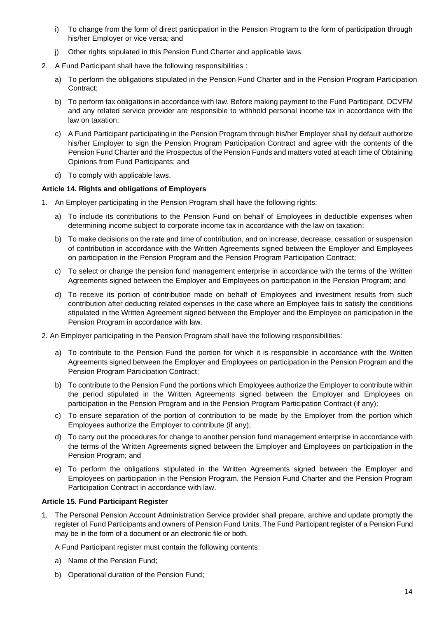- i) To change from the form of direct participation in the Pension Program to the form of participation through his/her Employer or vice versa; and
- j) Other rights stipulated in this Pension Fund Charter and applicable laws.
- 2. A Fund Participant shall have the following responsibilities :
	- a) To perform the obligations stipulated in the Pension Fund Charter and in the Pension Program Participation Contract;
	- b) To perform tax obligations in accordance with law. Before making payment to the Fund Participant, DCVFM and any related service provider are responsible to withhold personal income tax in accordance with the law on taxation;
	- c) A Fund Participant participating in the Pension Program through his/her Employer shall by default authorize his/her Employer to sign the Pension Program Participation Contract and agree with the contents of the Pension Fund Charter and the Prospectus of the Pension Funds and matters voted at each time of Obtaining Opinions from Fund Participants; and
	- d) To comply with applicable laws.

#### <span id="page-13-0"></span>**Article 14. Rights and obligations of Employers**

- 1. An Employer participating in the Pension Program shall have the following rights:
	- a) To include its contributions to the Pension Fund on behalf of Employees in deductible expenses when determining income subject to corporate income tax in accordance with the law on taxation;
	- b) To make decisions on the rate and time of contribution, and on increase, decrease, cessation or suspension of contribution in accordance with the Written Agreements signed between the Employer and Employees on participation in the Pension Program and the Pension Program Participation Contract;
	- c) To select or change the pension fund management enterprise in accordance with the terms of the Written Agreements signed between the Employer and Employees on participation in the Pension Program; and
	- d) To receive its portion of contribution made on behalf of Employees and investment results from such contribution after deducting related expenses in the case where an Employee fails to satisfy the conditions stipulated in the Written Agreement signed between the Employer and the Employee on participation in the Pension Program in accordance with law.
- 2. An Employer participating in the Pension Program shall have the following responsibilities:
	- a) To contribute to the Pension Fund the portion for which it is responsible in accordance with the Written Agreements signed between the Employer and Employees on participation in the Pension Program and the Pension Program Participation Contract;
	- b) To contribute to the Pension Fund the portions which Employees authorize the Employer to contribute within the period stipulated in the Written Agreements signed between the Employer and Employees on participation in the Pension Program and in the Pension Program Participation Contract (if any);
	- c) To ensure separation of the portion of contribution to be made by the Employer from the portion which Employees authorize the Employer to contribute (if any);
	- d) To carry out the procedures for change to another pension fund management enterprise in accordance with the terms of the Written Agreements signed between the Employer and Employees on participation in the Pension Program; and
	- e) To perform the obligations stipulated in the Written Agreements signed between the Employer and Employees on participation in the Pension Program, the Pension Fund Charter and the Pension Program Participation Contract in accordance with law.

#### <span id="page-13-1"></span>**Article 15. Fund Participant Register**

1. The Personal Pension Account Administration Service provider shall prepare, archive and update promptly the register of Fund Participants and owners of Pension Fund Units. The Fund Participant register of a Pension Fund may be in the form of a document or an electronic file or both.

A Fund Participant register must contain the following contents:

- a) Name of the Pension Fund;
- b) Operational duration of the Pension Fund;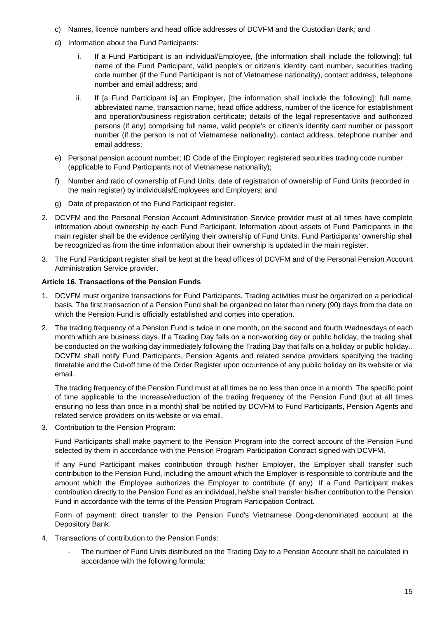- c) Names, licence numbers and head office addresses of DCVFM and the Custodian Bank; and
- d) Information about the Fund Participants:
	- i. If a Fund Participant is an individual/Employee, [the information shall include the following]: full name of the Fund Participant, valid people's or citizen's identity card number, securities trading code number (if the Fund Participant is not of Vietnamese nationality), contact address, telephone number and email address; and
	- ii. If [a Fund Participant is] an Employer, [the information shall include the following]: full name, abbreviated name, transaction name, head office address, number of the licence for establishment and operation/business registration certificate; details of the legal representative and authorized persons (if any) comprising full name, valid people's or citizen's identity card number or passport number (if the person is not of Vietnamese nationality), contact address, telephone number and email address;
- e) Personal pension account number; ID Code of the Employer; registered securities trading code number (applicable to Fund Participants not of Vietnamese nationality);
- f) Number and ratio of ownership of Fund Units, date of registration of ownership of Fund Units (recorded in the main register) by individuals/Employees and Employers; and
- g) Date of preparation of the Fund Participant register.
- 2. DCVFM and the Personal Pension Account Administration Service provider must at all times have complete information about ownership by each Fund Participant. Information about assets of Fund Participants in the main register shall be the evidence certifying their ownership of Fund Units. Fund Participants' ownership shall be recognized as from the time information about their ownership is updated in the main register.
- 3. The Fund Participant register shall be kept at the head offices of DCVFM and of the Personal Pension Account Administration Service provider.

#### <span id="page-14-0"></span>**Article 16. Transactions of the Pension Funds**

- 1. DCVFM must organize transactions for Fund Participants. Trading activities must be organized on a periodical basis. The first transaction of a Pension Fund shall be organized no later than ninety (90) days from the date on which the Pension Fund is officially established and comes into operation.
- 2. The trading frequency of a Pension Fund is twice in one month, on the second and fourth Wednesdays of each month which are business days. If a Trading Day falls on a non-working day or public holiday, the trading shall be conducted on the working day immediately following the Trading Day that falls on a holiday or public holiday.. DCVFM shall notify Fund Participants, Pension Agents and related service providers specifying the trading timetable and the Cut-off time of the Order Register upon occurrence of any public holiday on its website or via email.

The trading frequency of the Pension Fund must at all times be no less than once in a month. The specific point of time applicable to the increase/reduction of the trading frequency of the Pension Fund (but at all times ensuring no less than once in a month) shall be notified by DCVFM to Fund Participants, Pension Agents and related service providers on its website or via email.

3. Contribution to the Pension Program:

Fund Participants shall make payment to the Pension Program into the correct account of the Pension Fund selected by them in accordance with the Pension Program Participation Contract signed with DCVFM.

If any Fund Participant makes contribution through his/her Employer, the Employer shall transfer such contribution to the Pension Fund, including the amount which the Employer is responsible to contribute and the amount which the Employee authorizes the Employer to contribute (if any). If a Fund Participant makes contribution directly to the Pension Fund as an individual, he/she shall transfer his/her contribution to the Pension Fund in accordance with the terms of the Pension Program Participation Contract.

Form of payment: direct transfer to the Pension Fund's Vietnamese Dong-denominated account at the Depository Bank.

- 4. Transactions of contribution to the Pension Funds:
	- The number of Fund Units distributed on the Trading Day to a Pension Account shall be calculated in accordance with the following formula: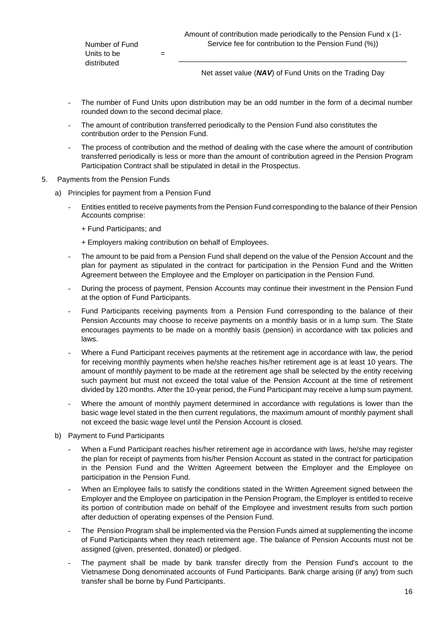Number of Fund Units to be distributed

=

\_\_\_\_\_\_\_\_\_\_\_\_\_\_\_\_\_\_\_\_\_\_\_\_\_\_\_\_\_\_\_\_\_\_\_\_\_\_\_\_\_\_\_\_\_\_\_\_\_\_\_\_\_\_\_\_ Net asset value (*NAV*) of Fund Units on the Trading Day

- The number of Fund Units upon distribution may be an odd number in the form of a decimal number rounded down to the second decimal place.
- The amount of contribution transferred periodically to the Pension Fund also constitutes the contribution order to the Pension Fund.
- The process of contribution and the method of dealing with the case where the amount of contribution transferred periodically is less or more than the amount of contribution agreed in the Pension Program Participation Contract shall be stipulated in detail in the Prospectus.
- 5. Payments from the Pension Funds
	- a) Principles for payment from a Pension Fund
		- Entities entitled to receive payments from the Pension Fund corresponding to the balance of their Pension Accounts comprise:
			- + Fund Participants; and
			- + Employers making contribution on behalf of Employees.
		- The amount to be paid from a Pension Fund shall depend on the value of the Pension Account and the plan for payment as stipulated in the contract for participation in the Pension Fund and the Written Agreement between the Employee and the Employer on participation in the Pension Fund.
		- During the process of payment, Pension Accounts may continue their investment in the Pension Fund at the option of Fund Participants.
		- Fund Participants receiving payments from a Pension Fund corresponding to the balance of their Pension Accounts may choose to receive payments on a monthly basis or in a lump sum. The State encourages payments to be made on a monthly basis (pension) in accordance with tax policies and laws.
		- Where a Fund Participant receives payments at the retirement age in accordance with law, the period for receiving monthly payments when he/she reaches his/her retirement age is at least 10 years. The amount of monthly payment to be made at the retirement age shall be selected by the entity receiving such payment but must not exceed the total value of the Pension Account at the time of retirement divided by 120 months. After the 10-year period, the Fund Participant may receive a lump sum payment.
		- Where the amount of monthly payment determined in accordance with regulations is lower than the basic wage level stated in the then current regulations, the maximum amount of monthly payment shall not exceed the basic wage level until the Pension Account is closed.
	- b) Payment to Fund Participants
		- When a Fund Participant reaches his/her retirement age in accordance with laws, he/she may register the plan for receipt of payments from his/her Pension Account as stated in the contract for participation in the Pension Fund and the Written Agreement between the Employer and the Employee on participation in the Pension Fund.
		- When an Employee fails to satisfy the conditions stated in the Written Agreement signed between the Employer and the Employee on participation in the Pension Program, the Employer is entitled to receive its portion of contribution made on behalf of the Employee and investment results from such portion after deduction of operating expenses of the Pension Fund.
		- The Pension Program shall be implemented via the Pension Funds aimed at supplementing the income of Fund Participants when they reach retirement age. The balance of Pension Accounts must not be assigned (given, presented, donated) or pledged.
		- The payment shall be made by bank transfer directly from the Pension Fund's account to the Vietnamese Dong denominated accounts of Fund Participants. Bank charge arising (if any) from such transfer shall be borne by Fund Participants.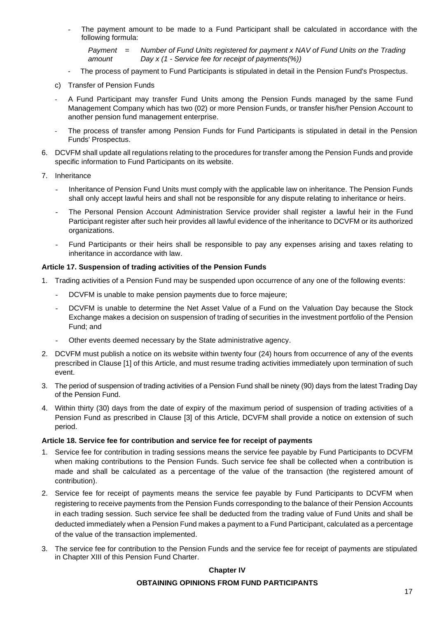The payment amount to be made to a Fund Participant shall be calculated in accordance with the following formula:

*Payment amount = Number of Fund Units registered for payment x NAV of Fund Units on the Trading Day x (1 - Service fee for receipt of payments(%))*

- The process of payment to Fund Participants is stipulated in detail in the Pension Fund's Prospectus.
- c) Transfer of Pension Funds
- ‐ A Fund Participant may transfer Fund Units among the Pension Funds managed by the same Fund Management Company which has two (02) or more Pension Funds, or transfer his/her Pension Account to another pension fund management enterprise.
- The process of transfer among Pension Funds for Fund Participants is stipulated in detail in the Pension Funds' Prospectus.
- 6. DCVFM shall update all regulations relating to the procedures for transfer among the Pension Funds and provide specific information to Fund Participants on its website.
- 7. Inheritance
	- Inheritance of Pension Fund Units must comply with the applicable law on inheritance. The Pension Funds shall only accept lawful heirs and shall not be responsible for any dispute relating to inheritance or heirs.
	- The Personal Pension Account Administration Service provider shall register a lawful heir in the Fund Participant register after such heir provides all lawful evidence of the inheritance to DCVFM or its authorized organizations.
	- Fund Participants or their heirs shall be responsible to pay any expenses arising and taxes relating to inheritance in accordance with law.

#### <span id="page-16-0"></span>**Article 17. Suspension of trading activities of the Pension Funds**

- 1. Trading activities of a Pension Fund may be suspended upon occurrence of any one of the following events:
	- DCVFM is unable to make pension payments due to force majeure;
	- DCVFM is unable to determine the Net Asset Value of a Fund on the Valuation Day because the Stock Exchange makes a decision on suspension of trading of securities in the investment portfolio of the Pension Fund; and
	- Other events deemed necessary by the State administrative agency.
- 2. DCVFM must publish a notice on its website within twenty four (24) hours from occurrence of any of the events prescribed in Clause [1] of this Article, and must resume trading activities immediately upon termination of such event.
- 3. The period of suspension of trading activities of a Pension Fund shall be ninety (90) days from the latest Trading Day of the Pension Fund.
- 4. Within thirty (30) days from the date of expiry of the maximum period of suspension of trading activities of a Pension Fund as prescribed in Clause [3] of this Article, DCVFM shall provide a notice on extension of such period.

#### <span id="page-16-1"></span>**Article 18. Service fee for contribution and service fee for receipt of payments**

- 1. Service fee for contribution in trading sessions means the service fee payable by Fund Participants to DCVFM when making contributions to the Pension Funds. Such service fee shall be collected when a contribution is made and shall be calculated as a percentage of the value of the transaction (the registered amount of contribution).
- 2. Service fee for receipt of payments means the service fee payable by Fund Participants to DCVFM when registering to receive payments from the Pension Funds corresponding to the balance of their Pension Accounts in each trading session. Such service fee shall be deducted from the trading value of Fund Units and shall be deducted immediately when a Pension Fund makes a payment to a Fund Participant, calculated as a percentage of the value of the transaction implemented.
- <span id="page-16-3"></span><span id="page-16-2"></span>3. The service fee for contribution to the Pension Funds and the service fee for receipt of payments are stipulated in Chapter XIII of this Pension Fund Charter.

#### **Chapter IV**

#### **OBTAINING OPINIONS FROM FUND PARTICIPANTS**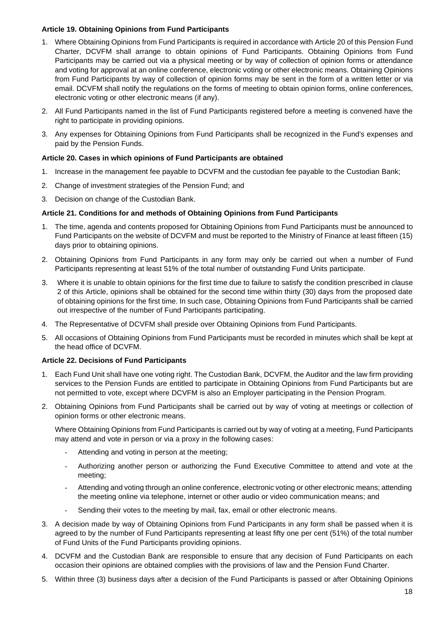### <span id="page-17-0"></span>**Article 19. Obtaining Opinions from Fund Participants**

- 1. Where Obtaining Opinions from Fund Participants is required in accordance with Article 20 of this Pension Fund Charter, DCVFM shall arrange to obtain opinions of Fund Participants. Obtaining Opinions from Fund Participants may be carried out via a physical meeting or by way of collection of opinion forms or attendance and voting for approval at an online conference, electronic voting or other electronic means. Obtaining Opinions from Fund Participants by way of collection of opinion forms may be sent in the form of a written letter or via email. DCVFM shall notify the regulations on the forms of meeting to obtain opinion forms, online conferences, electronic voting or other electronic means (if any).
- 2. All Fund Participants named in the list of Fund Participants registered before a meeting is convened have the right to participate in providing opinions.
- 3. Any expenses for Obtaining Opinions from Fund Participants shall be recognized in the Fund's expenses and paid by the Pension Funds.

### <span id="page-17-1"></span>**Article 20. Cases in which opinions of Fund Participants are obtained**

- 1. Increase in the management fee payable to DCVFM and the custodian fee payable to the Custodian Bank;
- 2. Change of investment strategies of the Pension Fund; and
- 3. Decision on change of the Custodian Bank.

### <span id="page-17-2"></span>**Article 21. Conditions for and methods of Obtaining Opinions from Fund Participants**

- 1. The time, agenda and contents proposed for Obtaining Opinions from Fund Participants must be announced to Fund Participants on the website of DCVFM and must be reported to the Ministry of Finance at least fifteen (15) days prior to obtaining opinions.
- 2. Obtaining Opinions from Fund Participants in any form may only be carried out when a number of Fund Participants representing at least 51% of the total number of outstanding Fund Units participate.
- 3. Where it is unable to obtain opinions for the first time due to failure to satisfy the condition prescribed in clause 2 of this Article, opinions shall be obtained for the second time within thirty (30) days from the proposed date of obtaining opinions for the first time. In such case, Obtaining Opinions from Fund Participants shall be carried out irrespective of the number of Fund Participants participating.
- 4. The Representative of DCVFM shall preside over Obtaining Opinions from Fund Participants.
- 5. All occasions of Obtaining Opinions from Fund Participants must be recorded in minutes which shall be kept at the head office of DCVFM.

#### <span id="page-17-3"></span>**Article 22. Decisions of Fund Participants**

- 1. Each Fund Unit shall have one voting right. The Custodian Bank, DCVFM, the Auditor and the law firm providing services to the Pension Funds are entitled to participate in Obtaining Opinions from Fund Participants but are not permitted to vote, except where DCVFM is also an Employer participating in the Pension Program.
- 2. Obtaining Opinions from Fund Participants shall be carried out by way of voting at meetings or collection of opinion forms or other electronic means.

Where Obtaining Opinions from Fund Participants is carried out by way of voting at a meeting, Fund Participants may attend and vote in person or via a proxy in the following cases:

- Attending and voting in person at the meeting;
- Authorizing another person or authorizing the Fund Executive Committee to attend and vote at the meeting;
- Attending and voting through an online conference, electronic voting or other electronic means; attending the meeting online via telephone, internet or other audio or video communication means; and
- Sending their votes to the meeting by mail, fax, email or other electronic means.
- 3. A decision made by way of Obtaining Opinions from Fund Participants in any form shall be passed when it is agreed to by the number of Fund Participants representing at least fifty one per cent (51%) of the total number of Fund Units of the Fund Participants providing opinions.
- 4. DCVFM and the Custodian Bank are responsible to ensure that any decision of Fund Participants on each occasion their opinions are obtained complies with the provisions of law and the Pension Fund Charter.
- 5. Within three (3) business days after a decision of the Fund Participants is passed or after Obtaining Opinions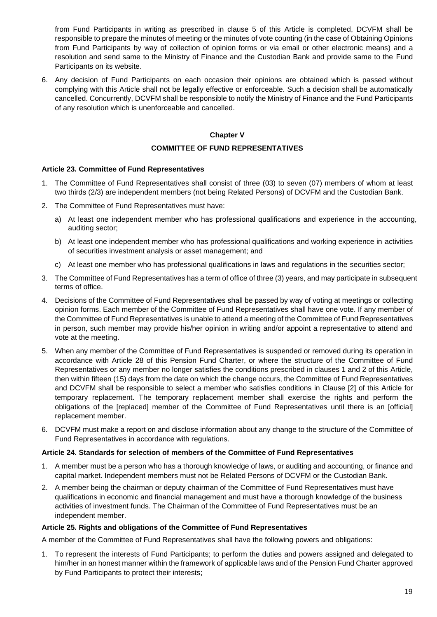from Fund Participants in writing as prescribed in clause 5 of this Article is completed, DCVFM shall be responsible to prepare the minutes of meeting or the minutes of vote counting (in the case of Obtaining Opinions from Fund Participants by way of collection of opinion forms or via email or other electronic means) and a resolution and send same to the Ministry of Finance and the Custodian Bank and provide same to the Fund Participants on its website.

6. Any decision of Fund Participants on each occasion their opinions are obtained which is passed without complying with this Article shall not be legally effective or enforceable. Such a decision shall be automatically cancelled. Concurrently, DCVFM shall be responsible to notify the Ministry of Finance and the Fund Participants of any resolution which is unenforceable and cancelled.

#### **Chapter V**

#### **COMMITTEE OF FUND REPRESENTATIVES**

#### <span id="page-18-2"></span><span id="page-18-1"></span><span id="page-18-0"></span>**Article 23. Committee of Fund Representatives**

- 1. The Committee of Fund Representatives shall consist of three (03) to seven (07) members of whom at least two thirds (2/3) are independent members (not being Related Persons) of DCVFM and the Custodian Bank.
- 2. The Committee of Fund Representatives must have:
	- a) At least one independent member who has professional qualifications and experience in the accounting, auditing sector;
	- b) At least one independent member who has professional qualifications and working experience in activities of securities investment analysis or asset management; and
	- c) At least one member who has professional qualifications in laws and regulations in the securities sector;
- 3. The Committee of Fund Representatives has a term of office of three (3) years, and may participate in subsequent terms of office.
- 4. Decisions of the Committee of Fund Representatives shall be passed by way of voting at meetings or collecting opinion forms. Each member of the Committee of Fund Representatives shall have one vote. If any member of the Committee of Fund Representatives is unable to attend a meeting of the Committee of Fund Representatives in person, such member may provide his/her opinion in writing and/or appoint a representative to attend and vote at the meeting.
- 5. When any member of the Committee of Fund Representatives is suspended or removed during its operation in accordance with Article 28 of this Pension Fund Charter, or where the structure of the Committee of Fund Representatives or any member no longer satisfies the conditions prescribed in clauses 1 and 2 of this Article, then within fifteen (15) days from the date on which the change occurs, the Committee of Fund Representatives and DCVFM shall be responsible to select a member who satisfies conditions in Clause [2] of this Article for temporary replacement. The temporary replacement member shall exercise the rights and perform the obligations of the [replaced] member of the Committee of Fund Representatives until there is an [official] replacement member.
- 6. DCVFM must make a report on and disclose information about any change to the structure of the Committee of Fund Representatives in accordance with regulations.

#### <span id="page-18-3"></span>**Article 24. Standards for selection of members of the Committee of Fund Representatives**

- 1. A member must be a person who has a thorough knowledge of laws, or auditing and accounting, or finance and capital market. Independent members must not be Related Persons of DCVFM or the Custodian Bank.
- 2. A member being the chairman or deputy chairman of the Committee of Fund Representatives must have qualifications in economic and financial management and must have a thorough knowledge of the business activities of investment funds. The Chairman of the Committee of Fund Representatives must be an independent member.

#### **Article 25. Rights and obligations of the Committee of Fund Representatives**

A member of the Committee of Fund Representatives shall have the following powers and obligations:

1. To represent the interests of Fund Participants; to perform the duties and powers assigned and delegated to him/her in an honest manner within the framework of applicable laws and of the Pension Fund Charter approved by Fund Participants to protect their interests;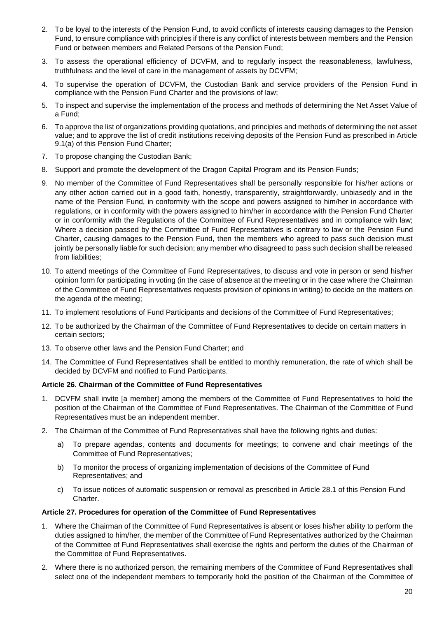- 2. To be loyal to the interests of the Pension Fund, to avoid conflicts of interests causing damages to the Pension Fund, to ensure compliance with principles if there is any conflict of interests between members and the Pension Fund or between members and Related Persons of the Pension Fund;
- 3. To assess the operational efficiency of DCVFM, and to regularly inspect the reasonableness, lawfulness, truthfulness and the level of care in the management of assets by DCVFM;
- 4. To supervise the operation of DCVFM, the Custodian Bank and service providers of the Pension Fund in compliance with the Pension Fund Charter and the provisions of law;
- 5. To inspect and supervise the implementation of the process and methods of determining the Net Asset Value of a Fund;
- 6. To approve the list of organizations providing quotations, and principles and methods of determining the net asset value; and to approve the list of credit institutions receiving deposits of the Pension Fund as prescribed in Article 9.1(a) of this Pension Fund Charter;
- 7. To propose changing the Custodian Bank;
- 8. Support and promote the development of the Dragon Capital Program and its Pension Funds;
- 9. No member of the Committee of Fund Representatives shall be personally responsible for his/her actions or any other action carried out in a good faith, honestly, transparently, straightforwardly, unbiasedly and in the name of the Pension Fund, in conformity with the scope and powers assigned to him/her in accordance with regulations, or in conformity with the powers assigned to him/her in accordance with the Pension Fund Charter or in conformity with the Regulations of the Committee of Fund Representatives and in compliance with law; Where a decision passed by the Committee of Fund Representatives is contrary to law or the Pension Fund Charter, causing damages to the Pension Fund, then the members who agreed to pass such decision must jointly be personally liable for such decision; any member who disagreed to pass such decision shall be released from liabilities;
- 10. To attend meetings of the Committee of Fund Representatives, to discuss and vote in person or send his/her opinion form for participating in voting (in the case of absence at the meeting or in the case where the Chairman of the Committee of Fund Representatives requests provision of opinions in writing) to decide on the matters on the agenda of the meeting;
- 11. To implement resolutions of Fund Participants and decisions of the Committee of Fund Representatives;
- 12. To be authorized by the Chairman of the Committee of Fund Representatives to decide on certain matters in certain sectors;
- 13. To observe other laws and the Pension Fund Charter; and
- 14. The Committee of Fund Representatives shall be entitled to monthly remuneration, the rate of which shall be decided by DCVFM and notified to Fund Participants.

#### <span id="page-19-0"></span>**Article 26. Chairman of the Committee of Fund Representatives**

- 1. DCVFM shall invite [a member] among the members of the Committee of Fund Representatives to hold the position of the Chairman of the Committee of Fund Representatives. The Chairman of the Committee of Fund Representatives must be an independent member.
- 2. The Chairman of the Committee of Fund Representatives shall have the following rights and duties:
	- a) To prepare agendas, contents and documents for meetings; to convene and chair meetings of the Committee of Fund Representatives;
	- b) To monitor the process of organizing implementation of decisions of the Committee of Fund Representatives; and
	- c) To issue notices of automatic suspension or removal as prescribed in Article 28.1 of this Pension Fund Charter.

#### <span id="page-19-1"></span>**Article 27. Procedures for operation of the Committee of Fund Representatives**

- 1. Where the Chairman of the Committee of Fund Representatives is absent or loses his/her ability to perform the duties assigned to him/her, the member of the Committee of Fund Representatives authorized by the Chairman of the Committee of Fund Representatives shall exercise the rights and perform the duties of the Chairman of the Committee of Fund Representatives.
- 2. Where there is no authorized person, the remaining members of the Committee of Fund Representatives shall select one of the independent members to temporarily hold the position of the Chairman of the Committee of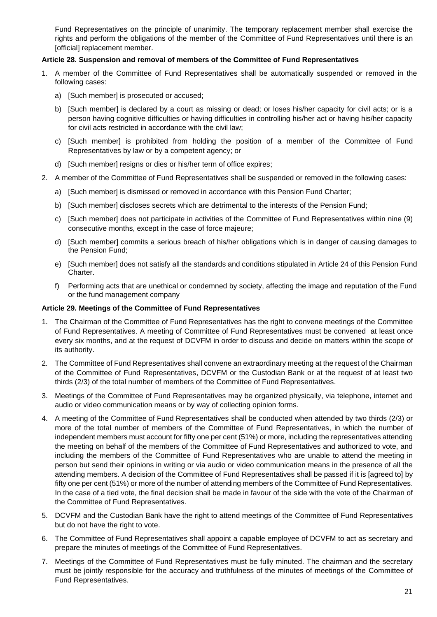Fund Representatives on the principle of unanimity. The temporary replacement member shall exercise the rights and perform the obligations of the member of the Committee of Fund Representatives until there is an [official] replacement member.

### <span id="page-20-0"></span>**Article 28. Suspension and removal of members of the Committee of Fund Representatives**

- 1. A member of the Committee of Fund Representatives shall be automatically suspended or removed in the following cases:
	- a) [Such member] is prosecuted or accused;
	- b) [Such member] is declared by a court as missing or dead; or loses his/her capacity for civil acts; or is a person having cognitive difficulties or having difficulties in controlling his/her act or having his/her capacity for civil acts restricted in accordance with the civil law;
	- c) [Such member] is prohibited from holding the position of a member of the Committee of Fund Representatives by law or by a competent agency; or
	- d) [Such member] resigns or dies or his/her term of office expires;
- 2. A member of the Committee of Fund Representatives shall be suspended or removed in the following cases:
	- a) [Such member] is dismissed or removed in accordance with this Pension Fund Charter;
	- b) [Such member] discloses secrets which are detrimental to the interests of the Pension Fund;
	- c) [Such member] does not participate in activities of the Committee of Fund Representatives within nine (9) consecutive months, except in the case of force majeure;
	- d) [Such member] commits a serious breach of his/her obligations which is in danger of causing damages to the Pension Fund;
	- e) [Such member] does not satisfy all the standards and conditions stipulated in Article 24 of this Pension Fund Charter.
	- f) Performing acts that are unethical or condemned by society, affecting the image and reputation of the Fund or the fund management company

#### <span id="page-20-1"></span>**Article 29. Meetings of the Committee of Fund Representatives**

- 1. The Chairman of the Committee of Fund Representatives has the right to convene meetings of the Committee of Fund Representatives. A meeting of Committee of Fund Representatives must be convened at least once every six months, and at the request of DCVFM in order to discuss and decide on matters within the scope of its authority.
- 2. The Committee of Fund Representatives shall convene an extraordinary meeting at the request of the Chairman of the Committee of Fund Representatives, DCVFM or the Custodian Bank or at the request of at least two thirds (2/3) of the total number of members of the Committee of Fund Representatives.
- 3. Meetings of the Committee of Fund Representatives may be organized physically, via telephone, internet and audio or video communication means or by way of collecting opinion forms.
- 4. A meeting of the Committee of Fund Representatives shall be conducted when attended by two thirds (2/3) or more of the total number of members of the Committee of Fund Representatives, in which the number of independent members must account for fifty one per cent (51%) or more, including the representatives attending the meeting on behalf of the members of the Committee of Fund Representatives and authorized to vote, and including the members of the Committee of Fund Representatives who are unable to attend the meeting in person but send their opinions in writing or via audio or video communication means in the presence of all the attending members. A decision of the Committee of Fund Representatives shall be passed if it is [agreed to] by fifty one per cent (51%) or more of the number of attending members of the Committee of Fund Representatives. In the case of a tied vote, the final decision shall be made in favour of the side with the vote of the Chairman of the Committee of Fund Representatives.
- 5. DCVFM and the Custodian Bank have the right to attend meetings of the Committee of Fund Representatives but do not have the right to vote.
- 6. The Committee of Fund Representatives shall appoint a capable employee of DCVFM to act as secretary and prepare the minutes of meetings of the Committee of Fund Representatives.
- 7. Meetings of the Committee of Fund Representatives must be fully minuted. The chairman and the secretary must be jointly responsible for the accuracy and truthfulness of the minutes of meetings of the Committee of Fund Representatives.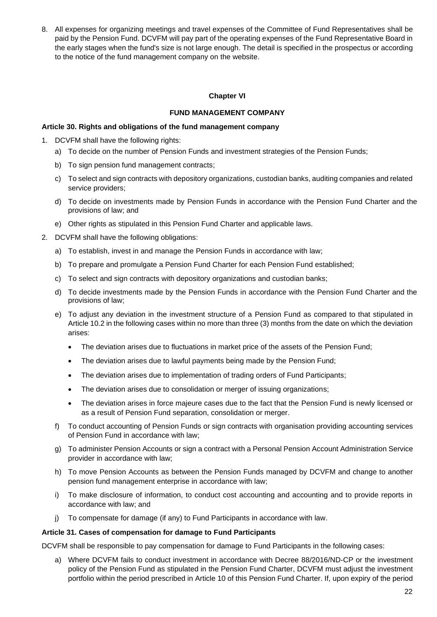8. All expenses for organizing meetings and travel expenses of the Committee of Fund Representatives shall be paid by the Pension Fund. DCVFM will pay part of the operating expenses of the Fund Representative Board in the early stages when the fund's size is not large enough. The detail is specified in the prospectus or according to the notice of the fund management company on the website.

#### **Chapter VI**

#### **FUND MANAGEMENT COMPANY**

#### <span id="page-21-2"></span><span id="page-21-1"></span><span id="page-21-0"></span>**Article 30. Rights and obligations of the fund management company**

- 1. DCVFM shall have the following rights:
	- a) To decide on the number of Pension Funds and investment strategies of the Pension Funds;
	- b) To sign pension fund management contracts;
	- c) To select and sign contracts with depository organizations, custodian banks, auditing companies and related service providers;
	- d) To decide on investments made by Pension Funds in accordance with the Pension Fund Charter and the provisions of law; and
	- e) Other rights as stipulated in this Pension Fund Charter and applicable laws.
- 2. DCVFM shall have the following obligations:
	- a) To establish, invest in and manage the Pension Funds in accordance with law;
	- b) To prepare and promulgate a Pension Fund Charter for each Pension Fund established;
	- c) To select and sign contracts with depository organizations and custodian banks;
	- d) To decide investments made by the Pension Funds in accordance with the Pension Fund Charter and the provisions of law;
	- e) To adjust any deviation in the investment structure of a Pension Fund as compared to that stipulated in Article 10.2 in the following cases within no more than three (3) months from the date on which the deviation arises:
		- The deviation arises due to fluctuations in market price of the assets of the Pension Fund;
		- The deviation arises due to lawful payments being made by the Pension Fund;
		- The deviation arises due to implementation of trading orders of Fund Participants;
		- The deviation arises due to consolidation or merger of issuing organizations;
		- The deviation arises in force majeure cases due to the fact that the Pension Fund is newly licensed or as a result of Pension Fund separation, consolidation or merger.
	- f) To conduct accounting of Pension Funds or sign contracts with organisation providing accounting services of Pension Fund in accordance with law;
	- g) To administer Pension Accounts or sign a contract with a Personal Pension Account Administration Service provider in accordance with law;
	- h) To move Pension Accounts as between the Pension Funds managed by DCVFM and change to another pension fund management enterprise in accordance with law;
	- i) To make disclosure of information, to conduct cost accounting and accounting and to provide reports in accordance with law; and
	- j) To compensate for damage (if any) to Fund Participants in accordance with law.

#### <span id="page-21-3"></span>**Article 31. Cases of compensation for damage to Fund Participants**

DCVFM shall be responsible to pay compensation for damage to Fund Participants in the following cases:

a) Where DCVFM fails to conduct investment in accordance with Decree 88/2016/ND-CP or the investment policy of the Pension Fund as stipulated in the Pension Fund Charter, DCVFM must adjust the investment portfolio within the period prescribed in Article 10 of this Pension Fund Charter. If, upon expiry of the period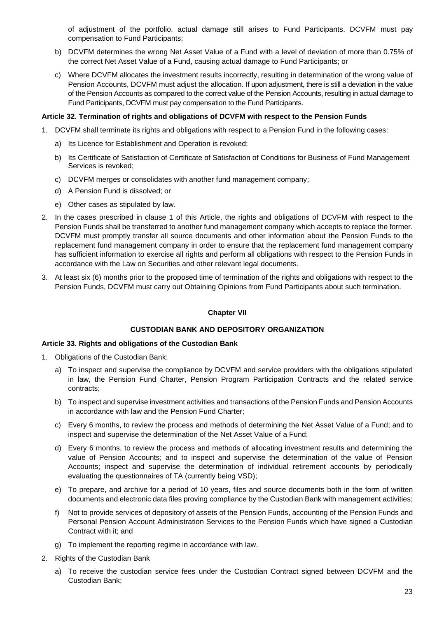of adjustment of the portfolio, actual damage still arises to Fund Participants, DCVFM must pay compensation to Fund Participants;

- b) DCVFM determines the wrong Net Asset Value of a Fund with a level of deviation of more than 0.75% of the correct Net Asset Value of a Fund, causing actual damage to Fund Participants; or
- c) Where DCVFM allocates the investment results incorrectly, resulting in determination of the wrong value of Pension Accounts, DCVFM must adjust the allocation. If upon adjustment, there is still a deviation in the value of the Pension Accounts as compared to the correct value of the Pension Accounts, resulting in actual damage to Fund Participants, DCVFM must pay compensation to the Fund Participants.

#### <span id="page-22-0"></span>**Article 32. Termination of rights and obligations of DCVFM with respect to the Pension Funds**

- 1. DCVFM shall terminate its rights and obligations with respect to a Pension Fund in the following cases:
	- a) Its Licence for Establishment and Operation is revoked;
	- b) Its Certificate of Satisfaction of Certificate of Satisfaction of Conditions for Business of Fund Management Services is revoked;
	- c) DCVFM merges or consolidates with another fund management company;
	- d) A Pension Fund is dissolved; or
	- e) Other cases as stipulated by law.
- 2. In the cases prescribed in clause 1 of this Article, the rights and obligations of DCVFM with respect to the Pension Funds shall be transferred to another fund management company which accepts to replace the former. DCVFM must promptly transfer all source documents and other information about the Pension Funds to the replacement fund management company in order to ensure that the replacement fund management company has sufficient information to exercise all rights and perform all obligations with respect to the Pension Funds in accordance with the Law on Securities and other relevant legal documents.
- 3. At least six (6) months prior to the proposed time of termination of the rights and obligations with respect to the Pension Funds, DCVFM must carry out Obtaining Opinions from Fund Participants about such termination.

#### **Chapter VII**

#### **CUSTODIAN BANK AND DEPOSITORY ORGANIZATION**

#### <span id="page-22-3"></span><span id="page-22-2"></span><span id="page-22-1"></span>**Article 33. Rights and obligations of the Custodian Bank**

- 1. Obligations of the Custodian Bank:
	- a) To inspect and supervise the compliance by DCVFM and service providers with the obligations stipulated in law, the Pension Fund Charter, Pension Program Participation Contracts and the related service contracts;
	- b) To inspect and supervise investment activities and transactions of the Pension Funds and Pension Accounts in accordance with law and the Pension Fund Charter;
	- c) Every 6 months, to review the process and methods of determining the Net Asset Value of a Fund; and to inspect and supervise the determination of the Net Asset Value of a Fund;
	- d) Every 6 months, to review the process and methods of allocating investment results and determining the value of Pension Accounts; and to inspect and supervise the determination of the value of Pension Accounts; inspect and supervise the determination of individual retirement accounts by periodically evaluating the questionnaires of TA (currently being VSD);
	- e) To prepare, and archive for a period of 10 years, files and source documents both in the form of written documents and electronic data files proving compliance by the Custodian Bank with management activities;
	- f) Not to provide services of depository of assets of the Pension Funds, accounting of the Pension Funds and Personal Pension Account Administration Services to the Pension Funds which have signed a Custodian Contract with it; and
	- g) To implement the reporting regime in accordance with law.
- 2. Rights of the Custodian Bank
	- a) To receive the custodian service fees under the Custodian Contract signed between DCVFM and the Custodian Bank;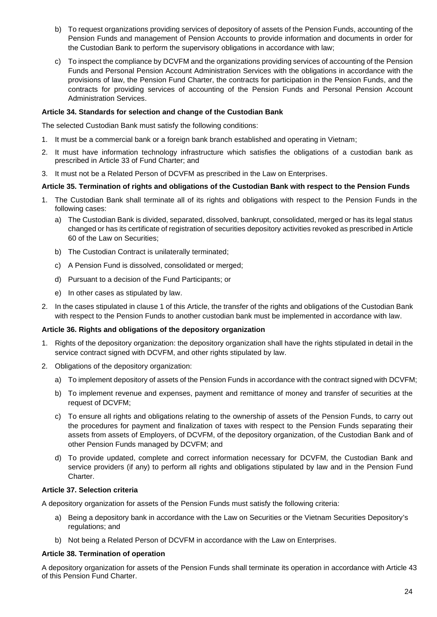- b) To request organizations providing services of depository of assets of the Pension Funds, accounting of the Pension Funds and management of Pension Accounts to provide information and documents in order for the Custodian Bank to perform the supervisory obligations in accordance with law;
- c) To inspect the compliance by DCVFM and the organizations providing services of accounting of the Pension Funds and Personal Pension Account Administration Services with the obligations in accordance with the provisions of law, the Pension Fund Charter, the contracts for participation in the Pension Funds, and the contracts for providing services of accounting of the Pension Funds and Personal Pension Account Administration Services.

### <span id="page-23-0"></span>**Article 34. Standards for selection and change of the Custodian Bank**

The selected Custodian Bank must satisfy the following conditions:

- 1. It must be a commercial bank or a foreign bank branch established and operating in Vietnam;
- 2. It must have information technology infrastructure which satisfies the obligations of a custodian bank as prescribed in Article 33 of Fund Charter; and
- 3. It must not be a Related Person of DCVFM as prescribed in the Law on Enterprises.

#### <span id="page-23-1"></span>**Article 35. Termination of rights and obligations of the Custodian Bank with respect to the Pension Funds**

- 1. The Custodian Bank shall terminate all of its rights and obligations with respect to the Pension Funds in the following cases:
	- a) The Custodian Bank is divided, separated, dissolved, bankrupt, consolidated, merged or has its legal status changed or has its certificate of registration of securities depository activities revoked as prescribed in Article 60 of the Law on Securities;
	- b) The Custodian Contract is unilaterally terminated;
	- c) A Pension Fund is dissolved, consolidated or merged;
	- d) Pursuant to a decision of the Fund Participants; or
	- e) In other cases as stipulated by law.
- 2. In the cases stipulated in clause 1 of this Article, the transfer of the rights and obligations of the Custodian Bank with respect to the Pension Funds to another custodian bank must be implemented in accordance with law.

#### <span id="page-23-2"></span>**Article 36. Rights and obligations of the depository organization**

- 1. Rights of the depository organization: the depository organization shall have the rights stipulated in detail in the service contract signed with DCVFM, and other rights stipulated by law.
- 2. Obligations of the depository organization:
	- a) To implement depository of assets of the Pension Funds in accordance with the contract signed with DCVFM;
	- b) To implement revenue and expenses, payment and remittance of money and transfer of securities at the request of DCVFM;
	- c) To ensure all rights and obligations relating to the ownership of assets of the Pension Funds, to carry out the procedures for payment and finalization of taxes with respect to the Pension Funds separating their assets from assets of Employers, of DCVFM, of the depository organization, of the Custodian Bank and of other Pension Funds managed by DCVFM; and
	- d) To provide updated, complete and correct information necessary for DCVFM, the Custodian Bank and service providers (if any) to perform all rights and obligations stipulated by law and in the Pension Fund Charter.

#### <span id="page-23-3"></span>**Article 37. Selection criteria**

A depository organization for assets of the Pension Funds must satisfy the following criteria:

- a) Being a depository bank in accordance with the Law on Securities or the Vietnam Securities Depository's regulations; and
- b) Not being a Related Person of DCVFM in accordance with the Law on Enterprises.

#### <span id="page-23-4"></span>**Article 38. Termination of operation**

A depository organization for assets of the Pension Funds shall terminate its operation in accordance with Article 43 of this Pension Fund Charter.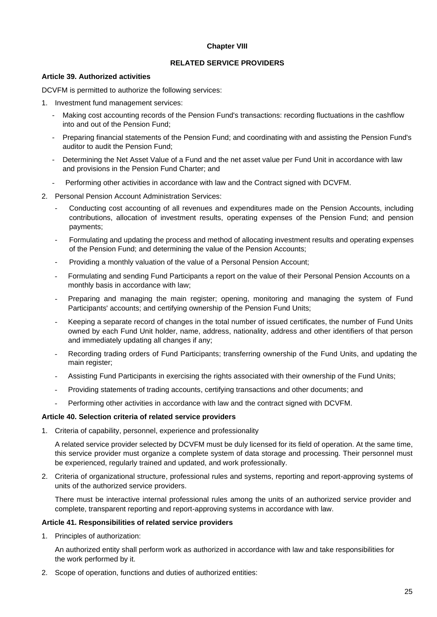#### **Chapter VIII**

#### **RELATED SERVICE PROVIDERS**

#### <span id="page-24-2"></span><span id="page-24-1"></span><span id="page-24-0"></span>**Article 39. Authorized activities**

DCVFM is permitted to authorize the following services:

1. Investment fund management services:

- Making cost accounting records of the Pension Fund's transactions: recording fluctuations in the cashflow into and out of the Pension Fund;
- Preparing financial statements of the Pension Fund; and coordinating with and assisting the Pension Fund's auditor to audit the Pension Fund;
- Determining the Net Asset Value of a Fund and the net asset value per Fund Unit in accordance with law and provisions in the Pension Fund Charter; and
- Performing other activities in accordance with law and the Contract signed with DCVFM.
- 2. Personal Pension Account Administration Services:
	- Conducting cost accounting of all revenues and expenditures made on the Pension Accounts, including contributions, allocation of investment results, operating expenses of the Pension Fund; and pension payments;
	- Formulating and updating the process and method of allocating investment results and operating expenses of the Pension Fund; and determining the value of the Pension Accounts;
	- Providing a monthly valuation of the value of a Personal Pension Account;
	- Formulating and sending Fund Participants a report on the value of their Personal Pension Accounts on a monthly basis in accordance with law;
	- Preparing and managing the main register; opening, monitoring and managing the system of Fund Participants' accounts; and certifying ownership of the Pension Fund Units;
	- Keeping a separate record of changes in the total number of issued certificates, the number of Fund Units owned by each Fund Unit holder, name, address, nationality, address and other identifiers of that person and immediately updating all changes if any;
	- Recording trading orders of Fund Participants; transferring ownership of the Fund Units, and updating the main register;
	- Assisting Fund Participants in exercising the rights associated with their ownership of the Fund Units;
	- Providing statements of trading accounts, certifying transactions and other documents; and
	- Performing other activities in accordance with law and the contract signed with DCVFM.

#### <span id="page-24-3"></span>**Article 40. Selection criteria of related service providers**

1. Criteria of capability, personnel, experience and professionality

A related service provider selected by DCVFM must be duly licensed for its field of operation. At the same time, this service provider must organize a complete system of data storage and processing. Their personnel must be experienced, regularly trained and updated, and work professionally.

2. Criteria of organizational structure, professional rules and systems, reporting and report-approving systems of units of the authorized service providers.

There must be interactive internal professional rules among the units of an authorized service provider and complete, transparent reporting and report-approving systems in accordance with law.

#### <span id="page-24-4"></span>**Article 41. Responsibilities of related service providers**

1. Principles of authorization:

An authorized entity shall perform work as authorized in accordance with law and take responsibilities for the work performed by it.

2. Scope of operation, functions and duties of authorized entities: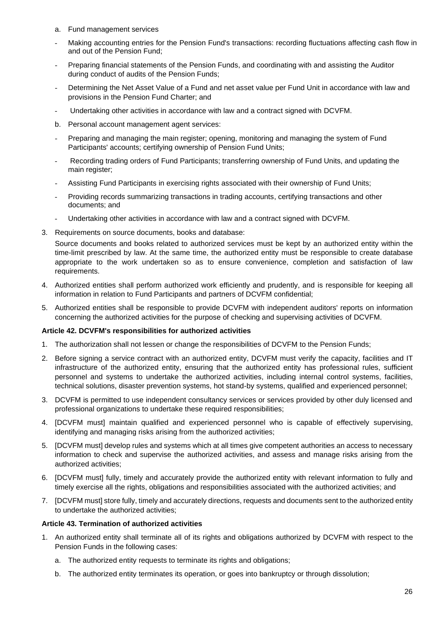- a. Fund management services
- Making accounting entries for the Pension Fund's transactions: recording fluctuations affecting cash flow in and out of the Pension Fund;
- Preparing financial statements of the Pension Funds, and coordinating with and assisting the Auditor during conduct of audits of the Pension Funds;
- Determining the Net Asset Value of a Fund and net asset value per Fund Unit in accordance with law and provisions in the Pension Fund Charter; and
- Undertaking other activities in accordance with law and a contract signed with DCVFM.
- b. Personal account management agent services:
- Preparing and managing the main register; opening, monitoring and managing the system of Fund Participants' accounts; certifying ownership of Pension Fund Units;
- Recording trading orders of Fund Participants; transferring ownership of Fund Units, and updating the main register;
- Assisting Fund Participants in exercising rights associated with their ownership of Fund Units;
- Providing records summarizing transactions in trading accounts, certifying transactions and other documents; and
- Undertaking other activities in accordance with law and a contract signed with DCVFM.
- 3. Requirements on source documents, books and database:

Source documents and books related to authorized services must be kept by an authorized entity within the time-limit prescribed by law. At the same time, the authorized entity must be responsible to create database appropriate to the work undertaken so as to ensure convenience, completion and satisfaction of law requirements.

- 4. Authorized entities shall perform authorized work efficiently and prudently, and is responsible for keeping all information in relation to Fund Participants and partners of DCVFM confidential;
- 5. Authorized entities shall be responsible to provide DCVFM with independent auditors' reports on information concerning the authorized activities for the purpose of checking and supervising activities of DCVFM.

#### <span id="page-25-0"></span>**Article 42. DCVFM's responsibilities for authorized activities**

- 1. The authorization shall not lessen or change the responsibilities of DCVFM to the Pension Funds;
- 2. Before signing a service contract with an authorized entity, DCVFM must verify the capacity, facilities and IT infrastructure of the authorized entity, ensuring that the authorized entity has professional rules, sufficient personnel and systems to undertake the authorized activities, including internal control systems, facilities, technical solutions, disaster prevention systems, hot stand-by systems, qualified and experienced personnel;
- 3. DCVFM is permitted to use independent consultancy services or services provided by other duly licensed and professional organizations to undertake these required responsibilities;
- 4. [DCVFM must] maintain qualified and experienced personnel who is capable of effectively supervising, identifying and managing risks arising from the authorized activities;
- 5. [DCVFM must] develop rules and systems which at all times give competent authorities an access to necessary information to check and supervise the authorized activities, and assess and manage risks arising from the authorized activities;
- 6. [DCVFM must] fully, timely and accurately provide the authorized entity with relevant information to fully and timely exercise all the rights, obligations and responsibilities associated with the authorized activities; and
- 7. [DCVFM must] store fully, timely and accurately directions, requests and documents sent to the authorized entity to undertake the authorized activities;

#### <span id="page-25-1"></span>**Article 43. Termination of authorized activities**

- 1. An authorized entity shall terminate all of its rights and obligations authorized by DCVFM with respect to the Pension Funds in the following cases:
	- a. The authorized entity requests to terminate its rights and obligations;
	- b. The authorized entity terminates its operation, or goes into bankruptcy or through dissolution;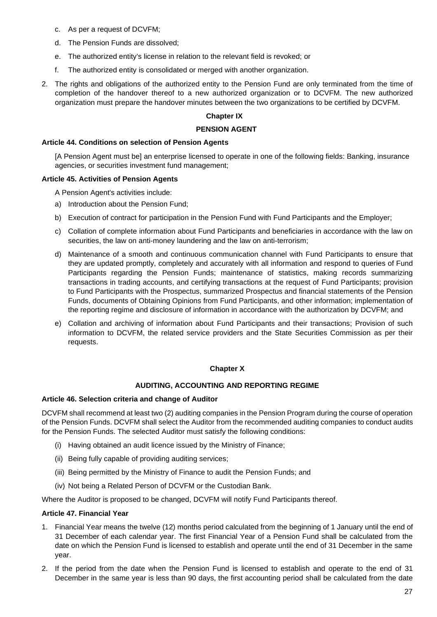- c. As per a request of DCVFM;
- d. The Pension Funds are dissolved;
- e. The authorized entity's license in relation to the relevant field is revoked; or
- f. The authorized entity is consolidated or merged with another organization.
- <span id="page-26-0"></span>2. The rights and obligations of the authorized entity to the Pension Fund are only terminated from the time of completion of the handover thereof to a new authorized organization or to DCVFM. The new authorized organization must prepare the handover minutes between the two organizations to be certified by DCVFM.

## **Chapter IX**

#### **PENSION AGENT**

#### <span id="page-26-1"></span>**Article 44. Conditions on selection of Pension Agents**

[A Pension Agent must be] an enterprise licensed to operate in one of the following fields: Banking, insurance agencies, or securities investment fund management;

#### <span id="page-26-2"></span>**Article 45. Activities of Pension Agents**

A Pension Agent's activities include:

- a) Introduction about the Pension Fund;
- b) Execution of contract for participation in the Pension Fund with Fund Participants and the Employer;
- c) Collation of complete information about Fund Participants and beneficiaries in accordance with the law on securities, the law on anti-money laundering and the law on anti-terrorism;
- d) Maintenance of a smooth and continuous communication channel with Fund Participants to ensure that they are updated promptly, completely and accurately with all information and respond to queries of Fund Participants regarding the Pension Funds; maintenance of statistics, making records summarizing transactions in trading accounts, and certifying transactions at the request of Fund Participants; provision to Fund Participants with the Prospectus, summarized Prospectus and financial statements of the Pension Funds, documents of Obtaining Opinions from Fund Participants, and other information; implementation of the reporting regime and disclosure of information in accordance with the authorization by DCVFM; and
- e) Collation and archiving of information about Fund Participants and their transactions; Provision of such information to DCVFM, the related service providers and the State Securities Commission as per their requests.

#### **Chapter X**

#### **AUDITING, ACCOUNTING AND REPORTING REGIME**

#### <span id="page-26-5"></span><span id="page-26-4"></span><span id="page-26-3"></span>**Article 46. Selection criteria and change of Auditor**

DCVFM shall recommend at least two (2) auditing companies in the Pension Program during the course of operation of the Pension Funds. DCVFM shall select the Auditor from the recommended auditing companies to conduct audits for the Pension Funds. The selected Auditor must satisfy the following conditions:

- (i) Having obtained an audit licence issued by the Ministry of Finance;
- (ii) Being fully capable of providing auditing services;
- (iii) Being permitted by the Ministry of Finance to audit the Pension Funds; and
- (iv) Not being a Related Person of DCVFM or the Custodian Bank.

Where the Auditor is proposed to be changed, DCVFM will notify Fund Participants thereof.

#### <span id="page-26-6"></span>**Article 47. Financial Year**

- 1. Financial Year means the twelve (12) months period calculated from the beginning of 1 January until the end of 31 December of each calendar year. The first Financial Year of a Pension Fund shall be calculated from the date on which the Pension Fund is licensed to establish and operate until the end of 31 December in the same year.
- 2. If the period from the date when the Pension Fund is licensed to establish and operate to the end of 31 December in the same year is less than 90 days, the first accounting period shall be calculated from the date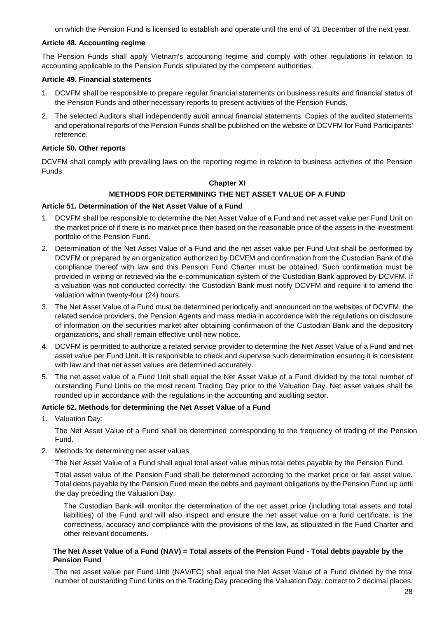on which the Pension Fund is licensed to establish and operate until the end of 31 December of the next year.

### <span id="page-27-0"></span>**Article 48. Accounting regime**

The Pension Funds shall apply Vietnam's accounting regime and comply with other regulations in relation to accounting applicable to the Pension Funds stipulated by the competent authorities.

## <span id="page-27-1"></span>**Article 49. Financial statements**

- 1. DCVFM shall be responsible to prepare regular financial statements on business results and financial status of the Pension Funds and other necessary reports to present activities of the Pension Funds.
- 2. The selected Auditors shall independently audit annual financial statements. Copies of the audited statements and operational reports of the Pension Funds shall be published on the website of DCVFM for Fund Participants' reference.

### <span id="page-27-2"></span>**Article 50. Other reports**

<span id="page-27-3"></span>DCVFM shall comply with prevailing laws on the reporting regime in relation to business activities of the Pension Funds.

### **Chapter XI**

### **METHODS FOR DETERMINING THE NET ASSET VALUE OF A FUND**

### <span id="page-27-5"></span><span id="page-27-4"></span>**Article 51. Determination of the Net Asset Value of a Fund**

- 1. DCVFM shall be responsible to determine the Net Asset Value of a Fund and net asset value per Fund Unit on the market price of if there is no market price then based on the reasonable price of the assets in the investment portfolio of the Pension Fund.
- 2. Determination of the Net Asset Value of a Fund and the net asset value per Fund Unit shall be performed by DCVFM or prepared by an organization authorized by DCVFM and confirmation from the Custodian Bank of the compliance thereof with law and this Pension Fund Charter must be obtained. Such confirmation must be provided in writing or retrieved via the e-communication system of the Custodian Bank approved by DCVFM. If a valuation was not conducted correctly, the Custodian Bank must notify DCVFM and require it to amend the valuation within twenty-four (24) hours.
- 3. The Net Asset Value of a Fund must be determined periodically and announced on the websites of DCVFM, the related service providers, the Pension Agents and mass media in accordance with the regulations on disclosure of information on the securities market after obtaining confirmation of the Custodian Bank and the depository organizations, and shall remain effective until new notice.
- 4. DCVFM is permitted to authorize a related service provider to determine the Net Asset Value of a Fund and net asset value per Fund Unit. It is responsible to check and supervise such determination ensuring it is consistent with law and that net asset values are determined accurately.
- 5. The net asset value of a Fund Unit shall equal the Net Asset Value of a Fund divided by the total number of outstanding Fund Units on the most recent Trading Day prior to the Valuation Day. Net asset values shall be rounded up in accordance with the regulations in the accounting and auditing sector.

# <span id="page-27-6"></span>**Article 52. Methods for determining the Net Asset Value of a Fund**

1. Valuation Day:

The Net Asset Value of a Fund shall be determined corresponding to the frequency of trading of the Pension Fund.

2. Methods for determining net asset values

The Net Asset Value of a Fund shall equal total asset value minus total debts payable by the Pension Fund.

Total asset value of the Pension Fund shall be determined according to the market price or fair asset value. Total debts payable by the Pension Fund mean the debts and payment obligations by the Pension Fund up until the day preceding the Valuation Day.

The Custodian Bank will monitor the determination of the net asset price (including total assets and total liabilities) of the Fund and will also inspect and ensure the net asset value on a fund certificate. is the correctness, accuracy and compliance with the provisions of the law, as stipulated in the Fund Charter and other relevant documents.

#### **The Net Asset Value of a Fund (NAV) = Total assets of the Pension Fund - Total debts payable by the Pension Fund**

The net asset value per Fund Unit (NAV/FC) shall equal the Net Asset Value of a Fund divided by the total number of outstanding Fund Units on the Trading Day preceding the Valuation Day, correct to 2 decimal places.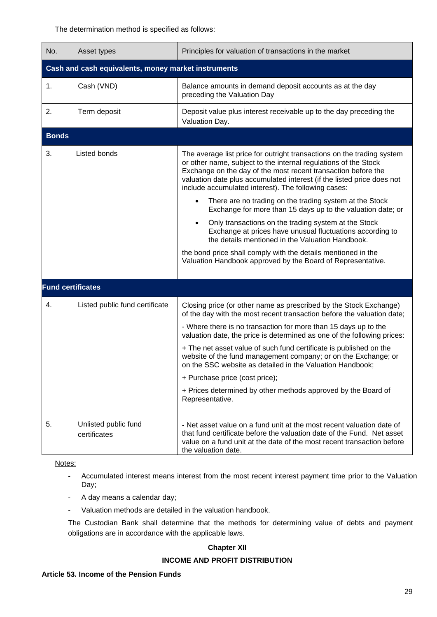The determination method is specified as follows:

| No.                                                 | Asset types                          | Principles for valuation of transactions in the market                                                                                                                                                                                                                                                                                      |  |  |
|-----------------------------------------------------|--------------------------------------|---------------------------------------------------------------------------------------------------------------------------------------------------------------------------------------------------------------------------------------------------------------------------------------------------------------------------------------------|--|--|
| Cash and cash equivalents, money market instruments |                                      |                                                                                                                                                                                                                                                                                                                                             |  |  |
| 1.                                                  | Cash (VND)                           | Balance amounts in demand deposit accounts as at the day<br>preceding the Valuation Day                                                                                                                                                                                                                                                     |  |  |
| 2.                                                  | Term deposit                         | Deposit value plus interest receivable up to the day preceding the<br>Valuation Day.                                                                                                                                                                                                                                                        |  |  |
| <b>Bonds</b>                                        |                                      |                                                                                                                                                                                                                                                                                                                                             |  |  |
| 3.                                                  | Listed bonds                         | The average list price for outright transactions on the trading system<br>or other name, subject to the internal regulations of the Stock<br>Exchange on the day of the most recent transaction before the<br>valuation date plus accumulated interest (if the listed price does not<br>include accumulated interest). The following cases: |  |  |
|                                                     |                                      | There are no trading on the trading system at the Stock<br>Exchange for more than 15 days up to the valuation date; or                                                                                                                                                                                                                      |  |  |
|                                                     |                                      | Only transactions on the trading system at the Stock<br>Exchange at prices have unusual fluctuations according to<br>the details mentioned in the Valuation Handbook.                                                                                                                                                                       |  |  |
|                                                     |                                      | the bond price shall comply with the details mentioned in the<br>Valuation Handbook approved by the Board of Representative.                                                                                                                                                                                                                |  |  |
| <b>Fund certificates</b>                            |                                      |                                                                                                                                                                                                                                                                                                                                             |  |  |
| 4.                                                  | Listed public fund certificate       | Closing price (or other name as prescribed by the Stock Exchange)<br>of the day with the most recent transaction before the valuation date;<br>- Where there is no transaction for more than 15 days up to the<br>valuation date, the price is determined as one of the following prices:                                                   |  |  |
|                                                     |                                      | + The net asset value of such fund certificate is published on the<br>website of the fund management company; or on the Exchange; or<br>on the SSC website as detailed in the Valuation Handbook;                                                                                                                                           |  |  |
|                                                     |                                      | + Purchase price (cost price);                                                                                                                                                                                                                                                                                                              |  |  |
|                                                     |                                      | + Prices determined by other methods approved by the Board of<br>Representative.                                                                                                                                                                                                                                                            |  |  |
| 5.                                                  | Unlisted public fund<br>certificates | - Net asset value on a fund unit at the most recent valuation date of<br>that fund certificate before the valuation date of the Fund. Net asset<br>value on a fund unit at the date of the most recent transaction before<br>the valuation date.                                                                                            |  |  |

Notes:

- Accumulated interest means interest from the most recent interest payment time prior to the Valuation Day;
- A day means a calendar day;
- Valuation methods are detailed in the valuation handbook.

<span id="page-28-2"></span><span id="page-28-1"></span><span id="page-28-0"></span>The Custodian Bank shall determine that the methods for determining value of debts and payment obligations are in accordance with the applicable laws.

#### **Chapter XII**

## **INCOME AND PROFIT DISTRIBUTION**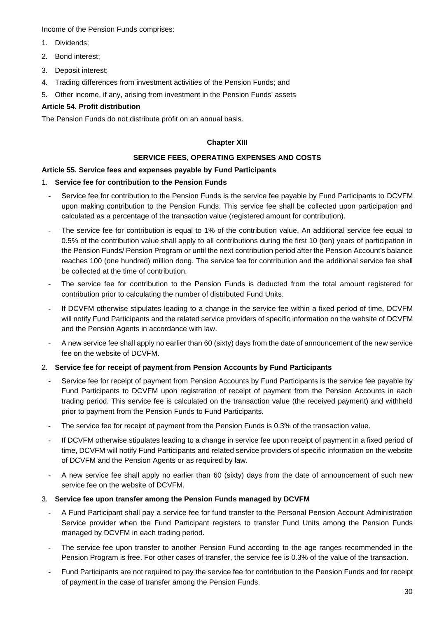Income of the Pension Funds comprises:

- 1. Dividends;
- 2. Bond interest;
- 3. Deposit interest;
- 4. Trading differences from investment activities of the Pension Funds; and
- 5. Other income, if any, arising from investment in the Pension Funds' assets

# <span id="page-29-0"></span>**Article 54. Profit distribution**

<span id="page-29-1"></span>The Pension Funds do not distribute profit on an annual basis.

## **Chapter XIII**

## **SERVICE FEES, OPERATING EXPENSES AND COSTS**

### <span id="page-29-3"></span><span id="page-29-2"></span>**Article 55. Service fees and expenses payable by Fund Participants**

### 1. **Service fee for contribution to the Pension Funds**

- Service fee for contribution to the Pension Funds is the service fee payable by Fund Participants to DCVFM upon making contribution to the Pension Funds. This service fee shall be collected upon participation and calculated as a percentage of the transaction value (registered amount for contribution).
- The service fee for contribution is equal to 1% of the contribution value. An additional service fee equal to 0.5% of the contribution value shall apply to all contributions during the first 10 (ten) years of participation in the Pension Funds/ Pension Program or until the next contribution period after the Pension Account's balance reaches 100 (one hundred) million dong. The service fee for contribution and the additional service fee shall be collected at the time of contribution.
- The service fee for contribution to the Pension Funds is deducted from the total amount registered for contribution prior to calculating the number of distributed Fund Units.
- If DCVFM otherwise stipulates leading to a change in the service fee within a fixed period of time, DCVFM will notify Fund Participants and the related service providers of specific information on the website of DCVFM and the Pension Agents in accordance with law.
- A new service fee shall apply no earlier than 60 (sixty) days from the date of announcement of the new service fee on the website of DCVFM.

# 2. **Service fee for receipt of payment from Pension Accounts by Fund Participants**

- Service fee for receipt of payment from Pension Accounts by Fund Participants is the service fee payable by Fund Participants to DCVFM upon registration of receipt of payment from the Pension Accounts in each trading period. This service fee is calculated on the transaction value (the received payment) and withheld prior to payment from the Pension Funds to Fund Participants.
- The service fee for receipt of payment from the Pension Funds is 0.3% of the transaction value.
- If DCVFM otherwise stipulates leading to a change in service fee upon receipt of payment in a fixed period of time, DCVFM will notify Fund Participants and related service providers of specific information on the website of DCVFM and the Pension Agents or as required by law.
- A new service fee shall apply no earlier than 60 (sixty) days from the date of announcement of such new service fee on the website of DCVFM.

#### 3. **Service fee upon transfer among the Pension Funds managed by DCVFM**

- A Fund Participant shall pay a service fee for fund transfer to the Personal Pension Account Administration Service provider when the Fund Participant registers to transfer Fund Units among the Pension Funds managed by DCVFM in each trading period.
- The service fee upon transfer to another Pension Fund according to the age ranges recommended in the Pension Program is free. For other cases of transfer, the service fee is 0.3% of the value of the transaction.
- Fund Participants are not required to pay the service fee for contribution to the Pension Funds and for receipt of payment in the case of transfer among the Pension Funds.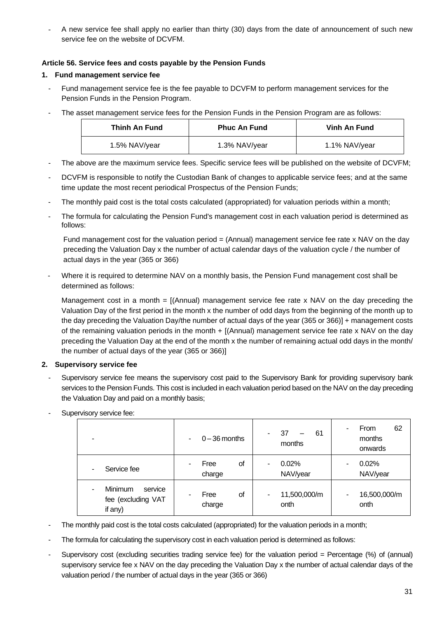- A new service fee shall apply no earlier than thirty (30) days from the date of announcement of such new service fee on the website of DCVFM.

# <span id="page-30-0"></span>**Article 56. Service fees and costs payable by the Pension Funds**

# **1. Fund management service fee**

- Fund management service fee is the fee payable to DCVFM to perform management services for the Pension Funds in the Pension Program.
- The asset management service fees for the Pension Funds in the Pension Program are as follows:

| Thinh An Fund | <b>Phuc An Fund</b> | Vinh An Fund  |
|---------------|---------------------|---------------|
| 1.5% NAV/year | 1.3% NAV/year       | 1.1% NAV/year |

- The above are the maximum service fees. Specific service fees will be published on the website of DCVFM;
- DCVFM is responsible to notify the Custodian Bank of changes to applicable service fees; and at the same time update the most recent periodical Prospectus of the Pension Funds;
- The monthly paid cost is the total costs calculated (appropriated) for valuation periods within a month;
- The formula for calculating the Pension Fund's management cost in each valuation period is determined as follows:

Fund management cost for the valuation period = (Annual) management service fee rate x NAV on the day preceding the Valuation Day x the number of actual calendar days of the valuation cycle / the number of actual days in the year (365 or 366)

Where it is required to determine NAV on a monthly basis, the Pension Fund management cost shall be determined as follows:

Management cost in a month = [(Annual) management service fee rate x NAV on the day preceding the Valuation Day of the first period in the month x the number of odd days from the beginning of the month up to the day preceding the Valuation Day/the number of actual days of the year (365 or 366)] + management costs of the remaining valuation periods in the month + [(Annual) management service fee rate x NAV on the day preceding the Valuation Day at the end of the month x the number of remaining actual odd days in the month/ the number of actual days of the year (365 or 366)]

# **2. Supervisory service fee**

Supervisory service fee means the supervisory cost paid to the Supervisory Bank for providing supervisory bank services to the Pension Funds. This cost is included in each valuation period based on the NAV on the day preceding the Valuation Day and paid on a monthly basis;

| -                                                          | $0 - 36$ months<br>$\overline{\phantom{a}}$ | 37<br>61<br>months        | 62<br>From<br>۰<br>months<br>onwards |
|------------------------------------------------------------|---------------------------------------------|---------------------------|--------------------------------------|
| Service fee                                                | οf<br>Free<br>٠<br>charge                   | 0.02%<br>۰<br>NAV/year    | 0.02%<br>۰<br>NAV/year               |
| <b>Minimum</b><br>service<br>fee (excluding VAT<br>if any) | οf<br>Free<br>charge                        | 11,500,000/m<br>۰<br>onth | 16,500,000/m<br>۰<br>onth            |

Supervisory service fee:

- The monthly paid cost is the total costs calculated (appropriated) for the valuation periods in a month;
- The formula for calculating the supervisory cost in each valuation period is determined as follows:
- Supervisory cost (excluding securities trading service fee) for the valuation period = Percentage (%) of (annual) supervisory service fee x NAV on the day preceding the Valuation Day x the number of actual calendar days of the valuation period / the number of actual days in the year (365 or 366)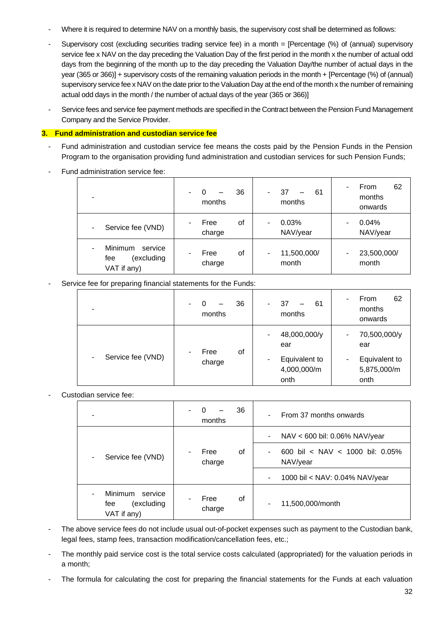- Where it is required to determine NAV on a monthly basis, the supervisory cost shall be determined as follows:
- Supervisory cost (excluding securities trading service fee) in a month = [Percentage (%) of (annual) supervisory service fee x NAV on the day preceding the Valuation Day of the first period in the month x the number of actual odd days from the beginning of the month up to the day preceding the Valuation Day/the number of actual days in the year (365 or 366)] + supervisory costs of the remaining valuation periods in the month + [Percentage (%) of (annual) supervisory service fee x NAV on the date prior to the Valuation Day at the end of the month x the number of remaining actual odd days in the month / the number of actual days of the year (365 or 366)]
- Service fees and service fee payment methods are specified in the Contract between the Pension Fund Management Company and the Service Provider.

### **3. Fund administration and custodian service fee**

- Fund administration and custodian service fee means the costs paid by the Pension Funds in the Pension Program to the organisation providing fund administration and custodian services for such Pension Funds;
- Fund administration service fee:

| -                                                           | 36<br>$\Omega$<br>۰<br>months | 37<br>61<br>months   | 62<br>From<br>٠<br>months<br>onwards             |
|-------------------------------------------------------------|-------------------------------|----------------------|--------------------------------------------------|
| Service fee (VND)<br>-                                      | Free<br>οf<br>-<br>charge     | 0.03%<br>NAV/year    | 0.04%<br>۰<br>NAV/year                           |
| Minimum<br>service<br>٠<br>(excluding<br>fee<br>VAT if any) | Free<br>οf<br>۰<br>charge     | 11,500,000/<br>month | 23,500,000/<br>$\overline{\phantom{a}}$<br>month |

### Service fee for preparing financial statements for the Funds:

|                        | 36<br>O<br>$\overline{a}$<br>—<br>months | 37<br>61<br>months                   | 62<br>From<br>months<br>onwards      |
|------------------------|------------------------------------------|--------------------------------------|--------------------------------------|
|                        | οf<br>Free                               | 48,000,000/y<br>۰<br>ear             | 70,500,000/y<br>۰.<br>ear            |
| Service fee (VND)<br>۰ | -<br>charge                              | Equivalent to<br>4,000,000/m<br>onth | Equivalent to<br>5,875,000/m<br>onth |

Custodian service fee:

| -                                                                  | 36<br>0<br>-<br>months    | From 37 months onwards                                    |
|--------------------------------------------------------------------|---------------------------|-----------------------------------------------------------|
|                                                                    |                           | NAV < 600 bil: 0.06% NAV/year<br>$\overline{\phantom{a}}$ |
| Service fee (VND)<br>-                                             | Free<br>οf<br>٠<br>charge | 600 bil < NAV < 1000 bil: 0.05%<br>٠<br>NAV/year          |
|                                                                    |                           | 1000 bil < NAV: 0.04% NAV/year                            |
| <b>Minimum</b><br>service<br>٠<br>(excluding<br>fee<br>VAT if any) | Free<br>οf<br>charge      | 11,500,000/month                                          |

- The above service fees do not include usual out-of-pocket expenses such as payment to the Custodian bank, legal fees, stamp fees, transaction modification/cancellation fees, etc.;
- The monthly paid service cost is the total service costs calculated (appropriated) for the valuation periods in a month;
- The formula for calculating the cost for preparing the financial statements for the Funds at each valuation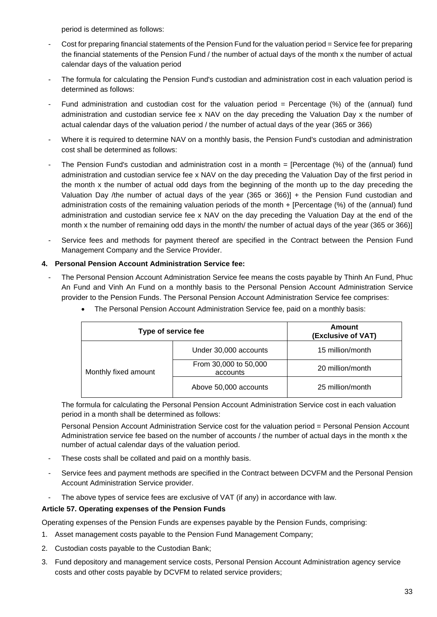period is determined as follows:

- Cost for preparing financial statements of the Pension Fund for the valuation period = Service fee for preparing the financial statements of the Pension Fund / the number of actual days of the month x the number of actual calendar days of the valuation period
- The formula for calculating the Pension Fund's custodian and administration cost in each valuation period is determined as follows:
- Fund administration and custodian cost for the valuation period  $=$  Percentage (%) of the (annual) fund administration and custodian service fee x NAV on the day preceding the Valuation Day x the number of actual calendar days of the valuation period / the number of actual days of the year (365 or 366)
- Where it is required to determine NAV on a monthly basis, the Pension Fund's custodian and administration cost shall be determined as follows:
- The Pension Fund's custodian and administration cost in a month = [Percentage (%) of the (annual) fund administration and custodian service fee x NAV on the day preceding the Valuation Day of the first period in the month x the number of actual odd days from the beginning of the month up to the day preceding the Valuation Day /the number of actual days of the year (365 or 366)] + the Pension Fund custodian and administration costs of the remaining valuation periods of the month + [Percentage (%) of the (annual) fund administration and custodian service fee x NAV on the day preceding the Valuation Day at the end of the month x the number of remaining odd days in the month/ the number of actual days of the year (365 or 366)]
- Service fees and methods for payment thereof are specified in the Contract between the Pension Fund Management Company and the Service Provider.

# **4. Personal Pension Account Administration Service fee:**

The Personal Pension Account Administration Service fee means the costs payable by Thinh An Fund, Phuc An Fund and Vinh An Fund on a monthly basis to the Personal Pension Account Administration Service provider to the Pension Funds. The Personal Pension Account Administration Service fee comprises:

| Type of service fee  |                                   | Amount<br>(Exclusive of VAT) |
|----------------------|-----------------------------------|------------------------------|
|                      | Under 30,000 accounts             | 15 million/month             |
| Monthly fixed amount | From 30,000 to 50,000<br>accounts | 20 million/month             |
|                      | Above 50,000 accounts             | 25 million/month             |

• The Personal Pension Account Administration Service fee, paid on a monthly basis:

The formula for calculating the Personal Pension Account Administration Service cost in each valuation period in a month shall be determined as follows:

Personal Pension Account Administration Service cost for the valuation period = Personal Pension Account Administration service fee based on the number of accounts / the number of actual days in the month x the number of actual calendar days of the valuation period.

- These costs shall be collated and paid on a monthly basis.
- Service fees and payment methods are specified in the Contract between DCVFM and the Personal Pension Account Administration Service provider.
- The above types of service fees are exclusive of VAT (if any) in accordance with law.

# <span id="page-32-0"></span>**Article 57. Operating expenses of the Pension Funds**

Operating expenses of the Pension Funds are expenses payable by the Pension Funds, comprising:

- 1. Asset management costs payable to the Pension Fund Management Company;
- 2. Custodian costs payable to the Custodian Bank;
- 3. Fund depository and management service costs, Personal Pension Account Administration agency service costs and other costs payable by DCVFM to related service providers;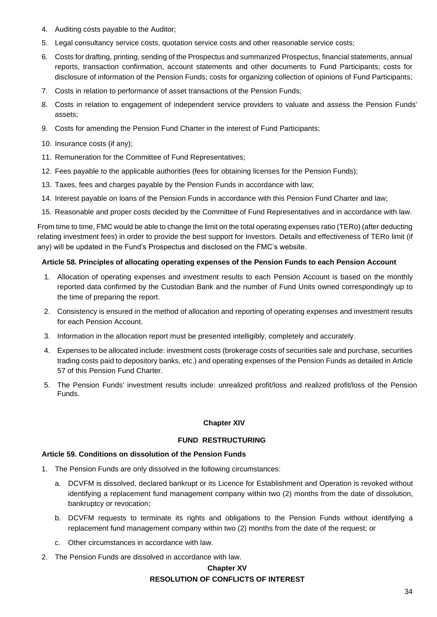- 4. Auditing costs payable to the Auditor;
- 5. Legal consultancy service costs, quotation service costs and other reasonable service costs;
- 6. Costs for drafting, printing, sending of the Prospectus and summarized Prospectus, financial statements, annual reports, transaction confirmation, account statements and other documents to Fund Participants; costs for disclosure of information of the Pension Funds; costs for organizing collection of opinions of Fund Participants;
- 7. Costs in relation to performance of asset transactions of the Pension Funds;
- 8. Costs in relation to engagement of independent service providers to valuate and assess the Pension Funds' assets;
- 9. Costs for amending the Pension Fund Charter in the interest of Fund Participants;
- 10. Insurance costs (if any);
- 11. Remuneration for the Committee of Fund Representatives;
- 12. Fees payable to the applicable authorities (fees for obtaining licenses for the Pension Funds);
- 13. Taxes, fees and charges payable by the Pension Funds in accordance with law;
- 14. Interest payable on loans of the Pension Funds in accordance with this Pension Fund Charter and law;
- 15. Reasonable and proper costs decided by the Committee of Fund Representatives and in accordance with law.

From time to time, FMC would be able to change the limit on the total operating expenses ratio (TERo) (after deducting relating investment fees) in order to provide the best support for Investors. Details and effectiveness of TERo limit (if any) will be updated in the Fund's Prospectus and disclosed on the FMC's website.

#### <span id="page-33-0"></span>**Article 58. Principles of allocating operating expenses of the Pension Funds to each Pension Account**

- 1. Allocation of operating expenses and investment results to each Pension Account is based on the monthly reported data confirmed by the Custodian Bank and the number of Fund Units owned correspondingly up to the time of preparing the report.
- 2. Consistency is ensured in the method of allocation and reporting of operating expenses and investment results for each Pension Account.
- 3. Information in the allocation report must be presented intelligibly, completely and accurately.
- 4. Expenses to be allocated include: investment costs (brokerage costs of securities sale and purchase, securities trading costs paid to depository banks, etc.) and operating expenses of the Pension Funds as detailed in Article 57 of this Pension Fund Charter.
- <span id="page-33-1"></span>5. The Pension Funds' investment results include: unrealized profit/loss and realized profit/loss of the Pension Funds.

#### **Chapter XIV**

#### **FUND RESTRUCTURING**

#### <span id="page-33-3"></span><span id="page-33-2"></span>**Article 59. Conditions on dissolution of the Pension Funds**

- 1. The Pension Funds are only dissolved in the following circumstances:
	- a. DCVFM is dissolved, declared bankrupt or its Licence for Establishment and Operation is revoked without identifying a replacement fund management company within two (2) months from the date of dissolution, bankruptcy or revocation;
	- b. DCVFM requests to terminate its rights and obligations to the Pension Funds without identifying a replacement fund management company within two (2) months from the date of the request; or
	- c. Other circumstances in accordance with law.
- <span id="page-33-5"></span><span id="page-33-4"></span>2. The Pension Funds are dissolved in accordance with law.

# **Chapter XV RESOLUTION OF CONFLICTS OF INTEREST**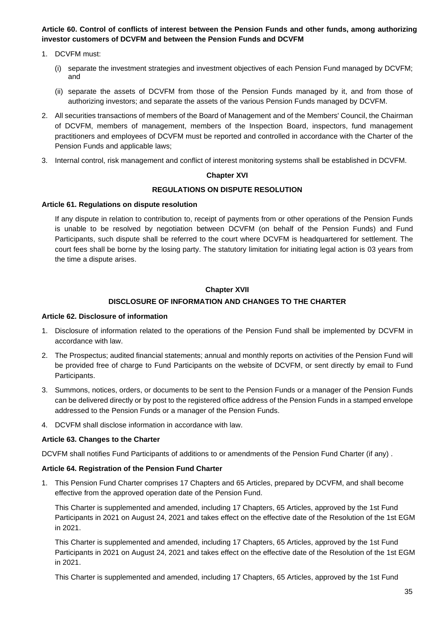<span id="page-34-0"></span>**Article 60. Control of conflicts of interest between the Pension Funds and other funds, among authorizing investor customers of DCVFM and between the Pension Funds and DCVFM**

- 1. DCVFM must:
	- (i) separate the investment strategies and investment objectives of each Pension Fund managed by DCVFM; and
	- (ii) separate the assets of DCVFM from those of the Pension Funds managed by it, and from those of authorizing investors; and separate the assets of the various Pension Funds managed by DCVFM.
- 2. All securities transactions of members of the Board of Management and of the Members' Council, the Chairman of DCVFM, members of management, members of the Inspection Board, inspectors, fund management practitioners and employees of DCVFM must be reported and controlled in accordance with the Charter of the Pension Funds and applicable laws;
- <span id="page-34-1"></span>3. Internal control, risk management and conflict of interest monitoring systems shall be established in DCVFM.

### **Chapter XVI**

### **REGULATIONS ON DISPUTE RESOLUTION**

#### <span id="page-34-3"></span><span id="page-34-2"></span>**Article 61. Regulations on dispute resolution**

If any dispute in relation to contribution to, receipt of payments from or other operations of the Pension Funds is unable to be resolved by negotiation between DCVFM (on behalf of the Pension Funds) and Fund Participants, such dispute shall be referred to the court where DCVFM is headquartered for settlement. The court fees shall be borne by the losing party. The statutory limitation for initiating legal action is 03 years from the time a dispute arises.

### **Chapter XVII**

# **DISCLOSURE OF INFORMATION AND CHANGES TO THE CHARTER**

#### <span id="page-34-6"></span><span id="page-34-5"></span><span id="page-34-4"></span>**Article 62. Disclosure of information**

- 1. Disclosure of information related to the operations of the Pension Fund shall be implemented by DCVFM in accordance with law.
- 2. The Prospectus; audited financial statements; annual and monthly reports on activities of the Pension Fund will be provided free of charge to Fund Participants on the website of DCVFM, or sent directly by email to Fund Participants.
- 3. Summons, notices, orders, or documents to be sent to the Pension Funds or a manager of the Pension Funds can be delivered directly or by post to the registered office address of the Pension Funds in a stamped envelope addressed to the Pension Funds or a manager of the Pension Funds.
- 4. DCVFM shall disclose information in accordance with law.

# <span id="page-34-7"></span>**Article 63. Changes to the Charter**

DCVFM shall notifies Fund Participants of additions to or amendments of the Pension Fund Charter (if any) .

#### <span id="page-34-8"></span>**Article 64. Registration of the Pension Fund Charter**

1. This Pension Fund Charter comprises 17 Chapters and 65 Articles, prepared by DCVFM, and shall become effective from the approved operation date of the Pension Fund.

This Charter is supplemented and amended, including 17 Chapters, 65 Articles, approved by the 1st Fund Participants in 2021 on August 24, 2021 and takes effect on the effective date of the Resolution of the 1st EGM in 2021.

This Charter is supplemented and amended, including 17 Chapters, 65 Articles, approved by the 1st Fund Participants in 2021 on August 24, 2021 and takes effect on the effective date of the Resolution of the 1st EGM in 2021.

This Charter is supplemented and amended, including 17 Chapters, 65 Articles, approved by the 1st Fund